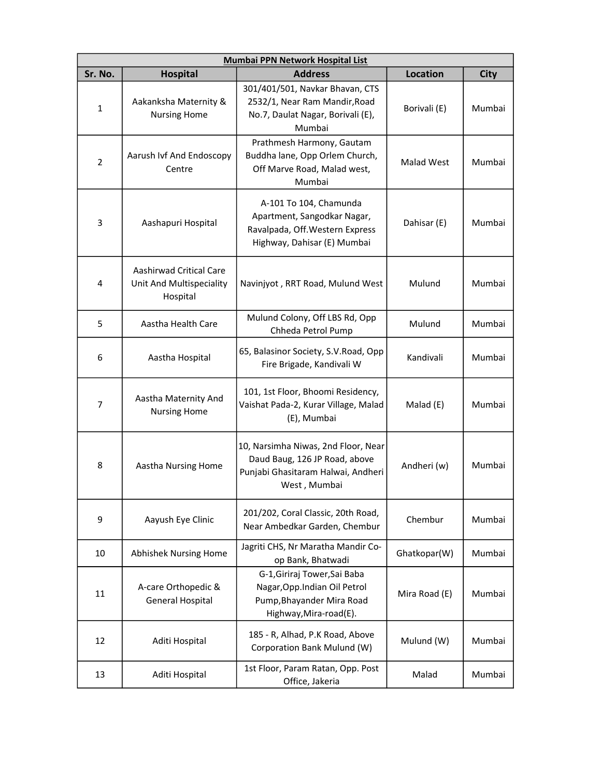| Mumbai PPN Network Hospital List |                                                                 |                                                                                                                            |                 |             |  |
|----------------------------------|-----------------------------------------------------------------|----------------------------------------------------------------------------------------------------------------------------|-----------------|-------------|--|
| Sr. No.                          | <b>Hospital</b>                                                 | <b>Address</b>                                                                                                             | <b>Location</b> | <b>City</b> |  |
| $\mathbf{1}$                     | Aakanksha Maternity &<br><b>Nursing Home</b>                    | 301/401/501, Navkar Bhavan, CTS<br>2532/1, Near Ram Mandir, Road<br>No.7, Daulat Nagar, Borivali (E),<br>Mumbai            | Borivali (E)    | Mumbai      |  |
| $\overline{2}$                   | Aarush Ivf And Endoscopy<br>Centre                              | Prathmesh Harmony, Gautam<br>Buddha lane, Opp Orlem Church,<br>Off Marve Road, Malad west,<br>Mumbai                       | Malad West      | Mumbai      |  |
| 3                                | Aashapuri Hospital                                              | A-101 To 104, Chamunda<br>Apartment, Sangodkar Nagar,<br>Ravalpada, Off. Western Express<br>Highway, Dahisar (E) Mumbai    | Dahisar (E)     | Mumbai      |  |
| 4                                | Aashirwad Critical Care<br>Unit And Multispeciality<br>Hospital | Navinjyot, RRT Road, Mulund West                                                                                           | Mulund          | Mumbai      |  |
| 5                                | Aastha Health Care                                              | Mulund Colony, Off LBS Rd, Opp<br>Chheda Petrol Pump                                                                       | Mulund          | Mumbai      |  |
| 6                                | Aastha Hospital                                                 | 65, Balasinor Society, S.V.Road, Opp<br>Fire Brigade, Kandivali W                                                          | Kandivali       | Mumbai      |  |
| $\overline{7}$                   | Aastha Maternity And<br><b>Nursing Home</b>                     | 101, 1st Floor, Bhoomi Residency,<br>Vaishat Pada-2, Kurar Village, Malad<br>(E), Mumbai                                   | Malad (E)       | Mumbai      |  |
| 8                                | Aastha Nursing Home                                             | 10, Narsimha Niwas, 2nd Floor, Near<br>Daud Baug, 126 JP Road, above<br>Punjabi Ghasitaram Halwai, Andheri<br>West, Mumbai | Andheri (w)     | Mumbai      |  |
| 9                                | Aayush Eye Clinic                                               | 201/202, Coral Classic, 20th Road,<br>Near Ambedkar Garden, Chembur                                                        | Chembur         | Mumbai      |  |
| 10                               | Abhishek Nursing Home                                           | Jagriti CHS, Nr Maratha Mandir Co-<br>op Bank, Bhatwadi                                                                    | Ghatkopar(W)    | Mumbai      |  |
| 11                               | A-care Orthopedic &<br><b>General Hospital</b>                  | G-1, Giriraj Tower, Sai Baba<br>Nagar, Opp. Indian Oil Petrol<br>Pump, Bhayander Mira Road<br>Highway, Mira-road(E).       | Mira Road (E)   | Mumbai      |  |
| 12                               | Aditi Hospital                                                  | 185 - R, Alhad, P.K Road, Above<br>Corporation Bank Mulund (W)                                                             | Mulund (W)      | Mumbai      |  |
| 13                               | Aditi Hospital                                                  | 1st Floor, Param Ratan, Opp. Post<br>Office, Jakeria                                                                       | Malad           | Mumbai      |  |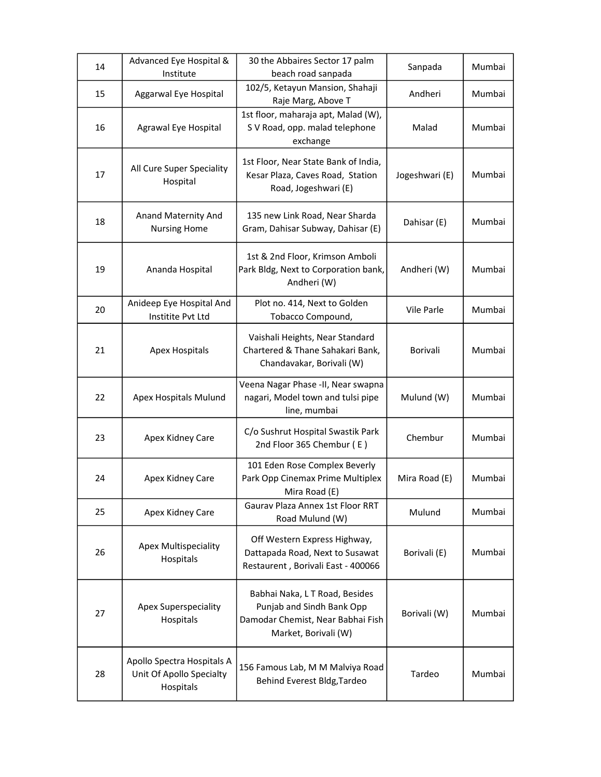| 14 | Advanced Eye Hospital &<br>Institute                                | 30 the Abbaires Sector 17 palm<br>beach road sanpada                                                                     | Sanpada        | Mumbai |
|----|---------------------------------------------------------------------|--------------------------------------------------------------------------------------------------------------------------|----------------|--------|
| 15 | Aggarwal Eye Hospital                                               | 102/5, Ketayun Mansion, Shahaji<br>Raje Marg, Above T                                                                    | Andheri        | Mumbai |
| 16 | Agrawal Eye Hospital                                                | 1st floor, maharaja apt, Malad (W),<br>S V Road, opp. malad telephone<br>exchange                                        | Malad          | Mumbai |
| 17 | All Cure Super Speciality<br>Hospital                               | 1st Floor, Near State Bank of India,<br>Kesar Plaza, Caves Road, Station<br>Road, Jogeshwari (E)                         | Jogeshwari (E) | Mumbai |
| 18 | Anand Maternity And<br><b>Nursing Home</b>                          | 135 new Link Road, Near Sharda<br>Gram, Dahisar Subway, Dahisar (E)                                                      | Dahisar (E)    | Mumbai |
| 19 | Ananda Hospital                                                     | 1st & 2nd Floor, Krimson Amboli<br>Park Bldg, Next to Corporation bank,<br>Andheri (W)                                   | Andheri (W)    | Mumbai |
| 20 | Anideep Eye Hospital And<br>Institite Pvt Ltd                       | Plot no. 414, Next to Golden<br>Tobacco Compound,                                                                        | Vile Parle     | Mumbai |
| 21 | <b>Apex Hospitals</b>                                               | Vaishali Heights, Near Standard<br>Chartered & Thane Sahakari Bank,<br>Chandavakar, Borivali (W)                         | Borivali       | Mumbai |
| 22 | Apex Hospitals Mulund                                               | Veena Nagar Phase -II, Near swapna<br>nagari, Model town and tulsi pipe<br>line, mumbai                                  | Mulund (W)     | Mumbai |
| 23 | Apex Kidney Care                                                    | C/o Sushrut Hospital Swastik Park<br>2nd Floor 365 Chembur (E)                                                           | Chembur        | Mumbai |
| 24 | Apex Kidney Care                                                    | 101 Eden Rose Complex Beverly<br>Park Opp Cinemax Prime Multiplex<br>Mira Road (E)                                       | Mira Road (E)  | Mumbai |
| 25 | Apex Kidney Care                                                    | Gaurav Plaza Annex 1st Floor RRT<br>Road Mulund (W)                                                                      | Mulund         | Mumbai |
| 26 | Apex Multispeciality<br>Hospitals                                   | Off Western Express Highway,<br>Dattapada Road, Next to Susawat<br>Restaurent, Borivali East - 400066                    | Borivali (E)   | Mumbai |
| 27 | <b>Apex Superspeciality</b><br>Hospitals                            | Babhai Naka, L T Road, Besides<br>Punjab and Sindh Bank Opp<br>Damodar Chemist, Near Babhai Fish<br>Market, Borivali (W) | Borivali (W)   | Mumbai |
| 28 | Apollo Spectra Hospitals A<br>Unit Of Apollo Specialty<br>Hospitals | 156 Famous Lab, M M Malviya Road<br>Behind Everest Bldg, Tardeo                                                          | Tardeo         | Mumbai |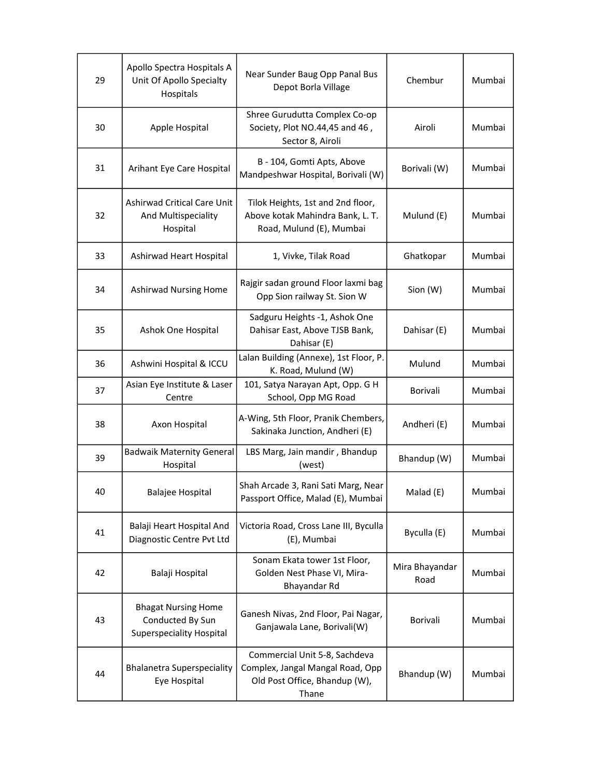| 29 | Apollo Spectra Hospitals A<br>Unit Of Apollo Specialty<br>Hospitals               | Near Sunder Baug Opp Panal Bus<br>Depot Borla Village                                                       | Chembur                | Mumbai |
|----|-----------------------------------------------------------------------------------|-------------------------------------------------------------------------------------------------------------|------------------------|--------|
| 30 | Apple Hospital                                                                    | Shree Gurudutta Complex Co-op<br>Society, Plot NO.44,45 and 46,<br>Sector 8, Airoli                         | Airoli                 | Mumbai |
| 31 | Arihant Eye Care Hospital                                                         | B - 104, Gomti Apts, Above<br>Mandpeshwar Hospital, Borivali (W)                                            | Borivali (W)           | Mumbai |
| 32 | Ashirwad Critical Care Unit<br>And Multispeciality<br>Hospital                    | Tilok Heights, 1st and 2nd floor,<br>Above kotak Mahindra Bank, L. T.<br>Road, Mulund (E), Mumbai           | Mulund (E)             | Mumbai |
| 33 | Ashirwad Heart Hospital                                                           | 1, Vivke, Tilak Road                                                                                        | Ghatkopar              | Mumbai |
| 34 | <b>Ashirwad Nursing Home</b>                                                      | Rajgir sadan ground Floor laxmi bag<br>Opp Sion railway St. Sion W                                          | Sion (W)               | Mumbai |
| 35 | Ashok One Hospital                                                                | Sadguru Heights -1, Ashok One<br>Dahisar East, Above TJSB Bank,<br>Dahisar (E)                              | Dahisar (E)            | Mumbai |
| 36 | Ashwini Hospital & ICCU                                                           | Lalan Building (Annexe), 1st Floor, P.<br>K. Road, Mulund (W)                                               | Mulund                 | Mumbai |
| 37 | Asian Eye Institute & Laser<br>Centre                                             | 101, Satya Narayan Apt, Opp. G H<br>School, Opp MG Road                                                     | <b>Borivali</b>        | Mumbai |
| 38 | Axon Hospital                                                                     | A-Wing, 5th Floor, Pranik Chembers,<br>Sakinaka Junction, Andheri (E)                                       | Andheri (E)            | Mumbai |
| 39 | <b>Badwaik Maternity General</b><br>Hospital                                      | LBS Marg, Jain mandir, Bhandup<br>(west)                                                                    | Bhandup (W)            | Mumbai |
| 40 | Balajee Hospital                                                                  | Shah Arcade 3, Rani Sati Marg, Near<br>Passport Office, Malad (E), Mumbai                                   | Malad (E)              | Mumbai |
| 41 | Balaji Heart Hospital And<br>Diagnostic Centre Pvt Ltd                            | Victoria Road, Cross Lane III, Byculla<br>(E), Mumbai                                                       | Byculla (E)            | Mumbai |
| 42 | Balaji Hospital                                                                   | Sonam Ekata tower 1st Floor,<br>Golden Nest Phase VI, Mira-<br>Bhayandar Rd                                 | Mira Bhayandar<br>Road | Mumbai |
| 43 | <b>Bhagat Nursing Home</b><br>Conducted By Sun<br><b>Superspeciality Hospital</b> | Ganesh Nivas, 2nd Floor, Pai Nagar,<br>Ganjawala Lane, Borivali(W)                                          | Borivali               | Mumbai |
| 44 | <b>Bhalanetra Superspeciality</b><br>Eye Hospital                                 | Commercial Unit 5-8, Sachdeva<br>Complex, Jangal Mangal Road, Opp<br>Old Post Office, Bhandup (W),<br>Thane | Bhandup (W)            | Mumbai |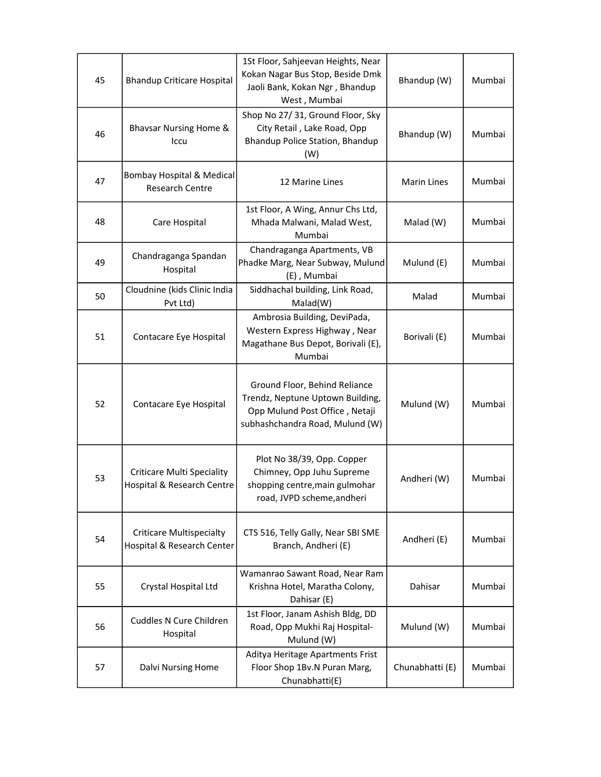| 45 | <b>Bhandup Criticare Hospital</b>                               | 1St Floor, Sahjeevan Heights, Near<br>Kokan Nagar Bus Stop, Beside Dmk<br>Jaoli Bank, Kokan Ngr, Bhandup<br>West, Mumbai               | Bhandup (W)        | Mumbai |
|----|-----------------------------------------------------------------|----------------------------------------------------------------------------------------------------------------------------------------|--------------------|--------|
| 46 | <b>Bhavsar Nursing Home &amp;</b><br>Iccu                       | Shop No 27/31, Ground Floor, Sky<br>City Retail, Lake Road, Opp<br>Bhandup Police Station, Bhandup<br>(W)                              | Bhandup (W)        | Mumbai |
| 47 | <b>Bombay Hospital &amp; Medical</b><br><b>Research Centre</b>  | 12 Marine Lines                                                                                                                        | <b>Marin Lines</b> | Mumbai |
| 48 | Care Hospital                                                   | 1st Floor, A Wing, Annur Chs Ltd,<br>Mhada Malwani, Malad West,<br>Mumbai                                                              | Malad (W)          | Mumbai |
| 49 | Chandraganga Spandan<br>Hospital                                | Chandraganga Apartments, VB<br>Phadke Marg, Near Subway, Mulund<br>(E), Mumbai                                                         | Mulund (E)         | Mumbai |
| 50 | Cloudnine (kids Clinic India<br>Pvt Ltd)                        | Siddhachal building, Link Road,<br>Malad(W)                                                                                            | Malad              | Mumbai |
| 51 | Contacare Eye Hospital                                          | Ambrosia Building, DeviPada,<br>Western Express Highway, Near<br>Magathane Bus Depot, Borivali (E),<br>Mumbai                          | Borivali (E)       | Mumbai |
| 52 | Contacare Eye Hospital                                          | Ground Floor, Behind Reliance<br>Trendz, Neptune Uptown Building,<br>Opp Mulund Post Office, Netaji<br>subhashchandra Road, Mulund (W) | Mulund (W)         | Mumbai |
| 53 | <b>Criticare Multi Speciality</b><br>Hospital & Research Centre | Plot No 38/39, Opp. Copper<br>Chimney, Opp Juhu Supreme<br>shopping centre, main gulmohar<br>road, JVPD scheme, andheri                | Andheri (W)        | Mumbai |
| 54 | <b>Criticare Multispecialty</b><br>Hospital & Research Center   | CTS 516, Telly Gally, Near SBI SME<br>Branch, Andheri (E)                                                                              | Andheri (E)        | Mumbai |
| 55 | Crystal Hospital Ltd                                            | Wamanrao Sawant Road, Near Ram<br>Krishna Hotel, Maratha Colony,<br>Dahisar (E)                                                        | Dahisar            | Mumbai |
| 56 | Cuddles N Cure Children<br>Hospital                             | 1st Floor, Janam Ashish Bldg, DD<br>Road, Opp Mukhi Raj Hospital-<br>Mulund (W)                                                        | Mulund (W)         | Mumbai |
| 57 | Dalvi Nursing Home                                              | Aditya Heritage Apartments Frist<br>Floor Shop 1Bv.N Puran Marg,<br>Chunabhatti(E)                                                     | Chunabhatti (E)    | Mumbai |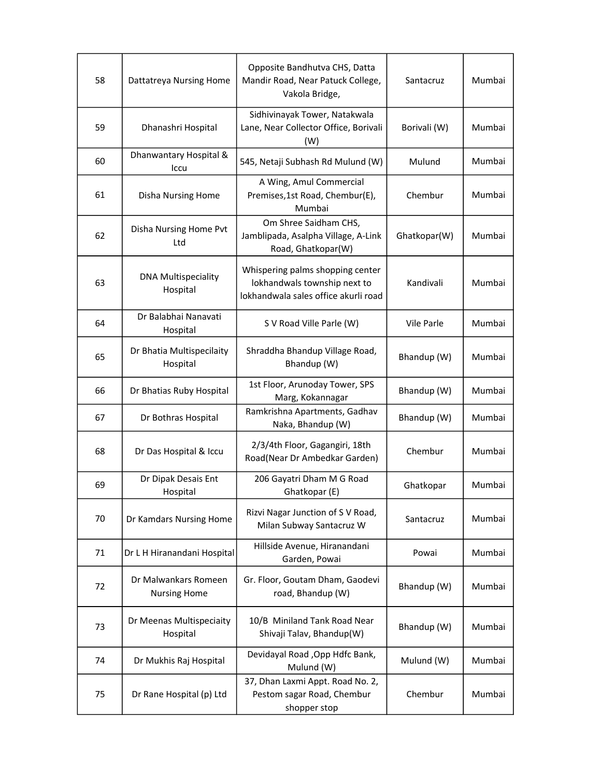| 58 | Dattatreya Nursing Home                     | Opposite Bandhutva CHS, Datta<br>Mandir Road, Near Patuck College,<br>Vakola Bridge,                     | Santacruz    | Mumbai |
|----|---------------------------------------------|----------------------------------------------------------------------------------------------------------|--------------|--------|
| 59 | Dhanashri Hospital                          | Sidhivinayak Tower, Natakwala<br>Lane, Near Collector Office, Borivali<br>(W)                            | Borivali (W) | Mumbai |
| 60 | Dhanwantary Hospital &<br>Iccu              | 545, Netaji Subhash Rd Mulund (W)                                                                        | Mulund       | Mumbai |
| 61 | Disha Nursing Home                          | A Wing, Amul Commercial<br>Premises,1st Road, Chembur(E),<br>Mumbai                                      | Chembur      | Mumbai |
| 62 | Disha Nursing Home Pvt<br>Ltd               | Om Shree Saidham CHS,<br>Jamblipada, Asalpha Village, A-Link<br>Road, Ghatkopar(W)                       | Ghatkopar(W) | Mumbai |
| 63 | <b>DNA Multispeciality</b><br>Hospital      | Whispering palms shopping center<br>lokhandwals township next to<br>lokhandwala sales office akurli road | Kandivali    | Mumbai |
| 64 | Dr Balabhai Nanavati<br>Hospital            | S V Road Ville Parle (W)                                                                                 | Vile Parle   | Mumbai |
| 65 | Dr Bhatia Multispecilaity<br>Hospital       | Shraddha Bhandup Village Road,<br>Bhandup (W)                                                            | Bhandup (W)  | Mumbai |
| 66 | Dr Bhatias Ruby Hospital                    | 1st Floor, Arunoday Tower, SPS<br>Marg, Kokannagar                                                       | Bhandup (W)  | Mumbai |
| 67 | Dr Bothras Hospital                         | Ramkrishna Apartments, Gadhav<br>Naka, Bhandup (W)                                                       | Bhandup (W)  | Mumbai |
| 68 | Dr Das Hospital & Iccu                      | 2/3/4th Floor, Gagangiri, 18th<br>Road(Near Dr Ambedkar Garden)                                          | Chembur      | Mumbai |
| 69 | Dr Dipak Desais Ent<br>Hospital             | 206 Gayatri Dham M G Road<br>Ghatkopar (E)                                                               | Ghatkopar    | Mumbai |
| 70 | Dr Kamdars Nursing Home                     | Rizvi Nagar Junction of S V Road,<br>Milan Subway Santacruz W                                            | Santacruz    | Mumbai |
| 71 | Dr L H Hiranandani Hospital                 | Hillside Avenue, Hiranandani<br>Garden, Powai                                                            | Powai        | Mumbai |
| 72 | Dr Malwankars Romeen<br><b>Nursing Home</b> | Gr. Floor, Goutam Dham, Gaodevi<br>road, Bhandup (W)                                                     | Bhandup (W)  | Mumbai |
| 73 | Dr Meenas Multispeciaity<br>Hospital        | 10/B Miniland Tank Road Near<br>Shivaji Talav, Bhandup(W)                                                | Bhandup (W)  | Mumbai |
| 74 | Dr Mukhis Raj Hospital                      | Devidayal Road , Opp Hdfc Bank,<br>Mulund (W)                                                            | Mulund (W)   | Mumbai |
| 75 | Dr Rane Hospital (p) Ltd                    | 37, Dhan Laxmi Appt. Road No. 2,<br>Pestom sagar Road, Chembur<br>shopper stop                           | Chembur      | Mumbai |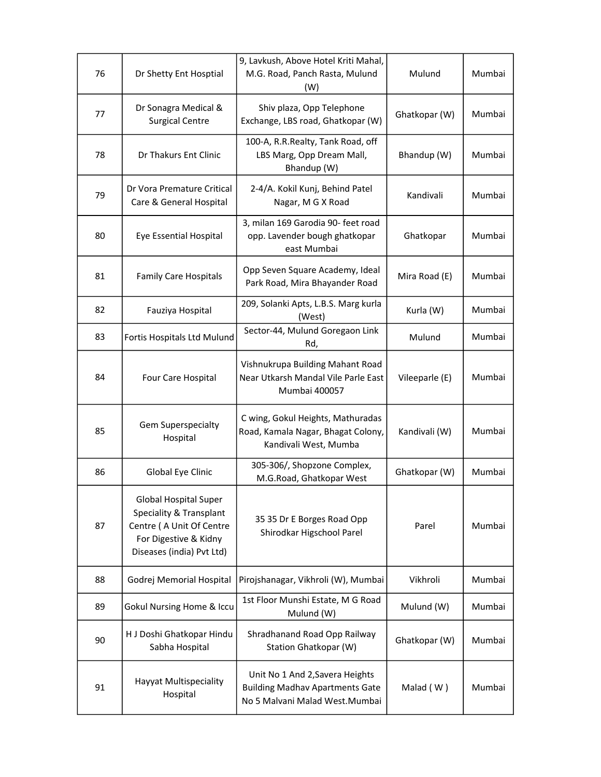| 76 | Dr Shetty Ent Hosptial                                                                                                                    | 9, Lavkush, Above Hotel Kriti Mahal,<br>M.G. Road, Panch Rasta, Mulund<br>(W)                               | Mulund         | Mumbai |
|----|-------------------------------------------------------------------------------------------------------------------------------------------|-------------------------------------------------------------------------------------------------------------|----------------|--------|
| 77 | Dr Sonagra Medical &<br><b>Surgical Centre</b>                                                                                            | Shiv plaza, Opp Telephone<br>Exchange, LBS road, Ghatkopar (W)                                              | Ghatkopar (W)  | Mumbai |
| 78 | Dr Thakurs Ent Clinic                                                                                                                     | 100-A, R.R.Realty, Tank Road, off<br>LBS Marg, Opp Dream Mall,<br>Bhandup (W)                               | Bhandup (W)    | Mumbai |
| 79 | Dr Vora Premature Critical<br>Care & General Hospital                                                                                     | 2-4/A. Kokil Kunj, Behind Patel<br>Nagar, M G X Road                                                        | Kandivali      | Mumbai |
| 80 | Eye Essential Hospital                                                                                                                    | 3, milan 169 Garodia 90- feet road<br>opp. Lavender bough ghatkopar<br>east Mumbai                          | Ghatkopar      | Mumbai |
| 81 | <b>Family Care Hospitals</b>                                                                                                              | Opp Seven Square Academy, Ideal<br>Park Road, Mira Bhayander Road                                           | Mira Road (E)  | Mumbai |
| 82 | Fauziya Hospital                                                                                                                          | 209, Solanki Apts, L.B.S. Marg kurla<br>(West)                                                              | Kurla (W)      | Mumbai |
| 83 | Fortis Hospitals Ltd Mulund                                                                                                               | Sector-44, Mulund Goregaon Link<br>Rd,                                                                      | Mulund         | Mumbai |
| 84 | Four Care Hospital                                                                                                                        | Vishnukrupa Building Mahant Road<br>Near Utkarsh Mandal Vile Parle East<br><b>Mumbai 400057</b>             | Vileeparle (E) | Mumbai |
| 85 | Gem Superspecialty<br>Hospital                                                                                                            | C wing, Gokul Heights, Mathuradas<br>Road, Kamala Nagar, Bhagat Colony,<br>Kandivali West, Mumba            | Kandivali (W)  | Mumbai |
| 86 | Global Eye Clinic                                                                                                                         | 305-306/, Shopzone Complex,<br>M.G.Road, Ghatkopar West                                                     | Ghatkopar (W)  | Mumbai |
| 87 | <b>Global Hospital Super</b><br>Speciality & Transplant<br>Centre (A Unit Of Centre<br>For Digestive & Kidny<br>Diseases (india) Pvt Ltd) | 35 35 Dr E Borges Road Opp<br>Shirodkar Higschool Parel                                                     | Parel          | Mumbai |
| 88 | Godrej Memorial Hospital                                                                                                                  | Pirojshanagar, Vikhroli (W), Mumbai                                                                         | Vikhroli       | Mumbai |
| 89 | Gokul Nursing Home & Iccu                                                                                                                 | 1st Floor Munshi Estate, M G Road<br>Mulund (W)                                                             | Mulund (W)     | Mumbai |
| 90 | H J Doshi Ghatkopar Hindu<br>Sabha Hospital                                                                                               | Shradhanand Road Opp Railway<br>Station Ghatkopar (W)                                                       | Ghatkopar (W)  | Mumbai |
| 91 | Hayyat Multispeciality<br>Hospital                                                                                                        | Unit No 1 And 2, Savera Heights<br><b>Building Madhav Apartments Gate</b><br>No 5 Malvani Malad West.Mumbai | Malad (W)      | Mumbai |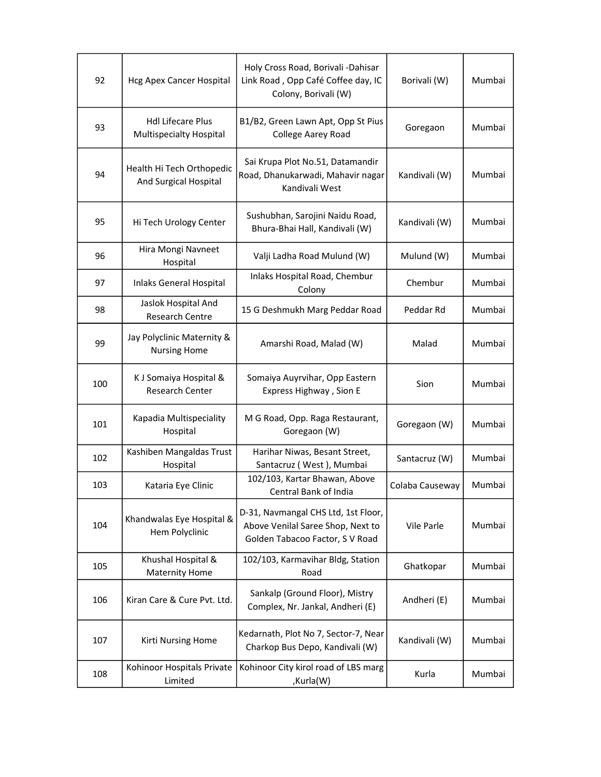| 92  | <b>Hcg Apex Cancer Hospital</b>                     | Holy Cross Road, Borivali -Dahisar<br>Link Road, Opp Café Coffee day, IC<br>Colony, Borivali (W)            | Borivali (W)    | Mumbai |
|-----|-----------------------------------------------------|-------------------------------------------------------------------------------------------------------------|-----------------|--------|
| 93  | <b>Hdl Lifecare Plus</b><br>Multispecialty Hospital | B1/B2, Green Lawn Apt, Opp St Pius<br>College Aarey Road                                                    | Goregaon        | Mumbai |
| 94  | Health Hi Tech Orthopedic<br>And Surgical Hospital  | Sai Krupa Plot No.51, Datamandir<br>Road, Dhanukarwadi, Mahavir nagar<br>Kandivali West                     | Kandivali (W)   | Mumbai |
| 95  | Hi Tech Urology Center                              | Sushubhan, Sarojini Naidu Road,<br>Bhura-Bhai Hall, Kandivali (W)                                           | Kandivali (W)   | Mumbai |
| 96  | Hira Mongi Navneet<br>Hospital                      | Valji Ladha Road Mulund (W)                                                                                 | Mulund (W)      | Mumbai |
| 97  | <b>Inlaks General Hospital</b>                      | Inlaks Hospital Road, Chembur<br>Colony                                                                     | Chembur         | Mumbai |
| 98  | Jaslok Hospital And<br>Research Centre              | 15 G Deshmukh Marg Peddar Road                                                                              | Peddar Rd       | Mumbai |
| 99  | Jay Polyclinic Maternity &<br><b>Nursing Home</b>   | Amarshi Road, Malad (W)                                                                                     | Malad           | Mumbai |
| 100 | K J Somaiya Hospital &<br><b>Research Center</b>    | Somaiya Auyrvihar, Opp Eastern<br>Express Highway, Sion E                                                   | Sion            | Mumbai |
| 101 | Kapadia Multispeciality<br>Hospital                 | M G Road, Opp. Raga Restaurant,<br>Goregaon (W)                                                             | Goregaon (W)    | Mumbai |
| 102 | Kashiben Mangaldas Trust<br>Hospital                | Harihar Niwas, Besant Street,<br>Santacruz (West), Mumbai                                                   | Santacruz (W)   | Mumbai |
| 103 | Kataria Eye Clinic                                  | 102/103, Kartar Bhawan, Above<br>Central Bank of India                                                      | Colaba Causeway | Mumbai |
| 104 | Khandwalas Eye Hospital &<br>Hem Polyclinic         | D-31, Navmangal CHS Ltd, 1st Floor,<br>Above Venilal Saree Shop, Next to<br>Golden Tabacoo Factor, S V Road | Vile Parle      | Mumbai |
| 105 | Khushal Hospital &<br><b>Maternity Home</b>         | 102/103, Karmavihar Bldg, Station<br>Road                                                                   | Ghatkopar       | Mumbai |
| 106 | Kiran Care & Cure Pvt. Ltd.                         | Sankalp (Ground Floor), Mistry<br>Complex, Nr. Jankal, Andheri (E)                                          | Andheri (E)     | Mumbai |
| 107 | Kirti Nursing Home                                  | Kedarnath, Plot No 7, Sector-7, Near<br>Charkop Bus Depo, Kandivali (W)                                     | Kandivali (W)   | Mumbai |
| 108 | Kohinoor Hospitals Private<br>Limited               | Kohinoor City kirol road of LBS marg<br>,Kurla(W)                                                           | Kurla           | Mumbai |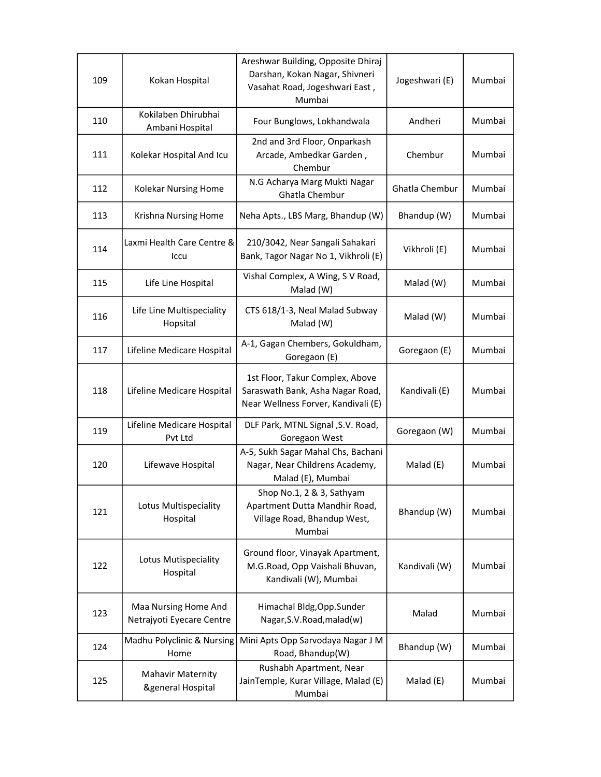| 109 | Kokan Hospital                                           | Areshwar Building, Opposite Dhiraj<br>Darshan, Kokan Nagar, Shivneri<br>Vasahat Road, Jogeshwari East,<br>Mumbai | Jogeshwari (E) | Mumbai |
|-----|----------------------------------------------------------|------------------------------------------------------------------------------------------------------------------|----------------|--------|
| 110 | Kokilaben Dhirubhai<br>Ambani Hospital                   | Four Bunglows, Lokhandwala                                                                                       | Andheri        | Mumbai |
| 111 | Kolekar Hospital And Icu                                 | 2nd and 3rd Floor, Onparkash<br>Arcade, Ambedkar Garden,<br>Chembur                                              | Chembur        | Mumbai |
| 112 | Kolekar Nursing Home                                     | N.G Acharya Marg Mukti Nagar<br>Ghatla Chembur                                                                   | Ghatla Chembur | Mumbai |
| 113 | Krishna Nursing Home                                     | Neha Apts., LBS Marg, Bhandup (W)                                                                                | Bhandup (W)    | Mumbai |
| 114 | Laxmi Health Care Centre &<br>Iccu                       | 210/3042, Near Sangali Sahakari<br>Bank, Tagor Nagar No 1, Vikhroli (E)                                          | Vikhroli (E)   | Mumbai |
| 115 | Life Line Hospital                                       | Vishal Complex, A Wing, S V Road,<br>Malad (W)                                                                   | Malad (W)      | Mumbai |
| 116 | Life Line Multispeciality<br>Hopsital                    | CTS 618/1-3, Neal Malad Subway<br>Malad (W)                                                                      | Malad (W)      | Mumbai |
| 117 | Lifeline Medicare Hospital                               | A-1, Gagan Chembers, Gokuldham,<br>Goregaon (E)                                                                  | Goregaon (E)   | Mumbai |
| 118 | Lifeline Medicare Hospital                               | 1st Floor, Takur Complex, Above<br>Saraswath Bank, Asha Nagar Road,<br>Near Wellness Forver, Kandivali (E)       | Kandivali (E)  | Mumbai |
| 119 | Lifeline Medicare Hospital<br>Pvt Ltd                    | DLF Park, MTNL Signal , S.V. Road,<br>Goregaon West                                                              | Goregaon (W)   | Mumbai |
| 120 | Lifewave Hospital                                        | A-5, Sukh Sagar Mahal Chs, Bachani<br>Nagar, Near Childrens Academy,<br>Malad (E), Mumbai                        | Malad (E)      | Mumbai |
| 121 | Lotus Multispeciality<br>Hospital                        | Shop No.1, 2 & 3, Sathyam<br>Apartment Dutta Mandhir Road,<br>Village Road, Bhandup West,<br>Mumbai              | Bhandup (W)    | Mumbai |
| 122 | Lotus Mutispeciality<br>Hospital                         | Ground floor, Vinayak Apartment,<br>M.G.Road, Opp Vaishali Bhuvan,<br>Kandivali (W), Mumbai                      | Kandivali (W)  | Mumbai |
| 123 | Maa Nursing Home And<br>Netrajyoti Eyecare Centre        | Himachal Bldg, Opp. Sunder<br>Nagar, S.V. Road, malad(w)                                                         | Malad          | Mumbai |
| 124 | Madhu Polyclinic & Nursing<br>Home                       | Mini Apts Opp Sarvodaya Nagar J M<br>Road, Bhandup(W)                                                            | Bhandup (W)    | Mumbai |
| 125 | <b>Mahavir Maternity</b><br><b>&amp;general Hospital</b> | Rushabh Apartment, Near<br>JainTemple, Kurar Village, Malad (E)<br>Mumbai                                        | Malad (E)      | Mumbai |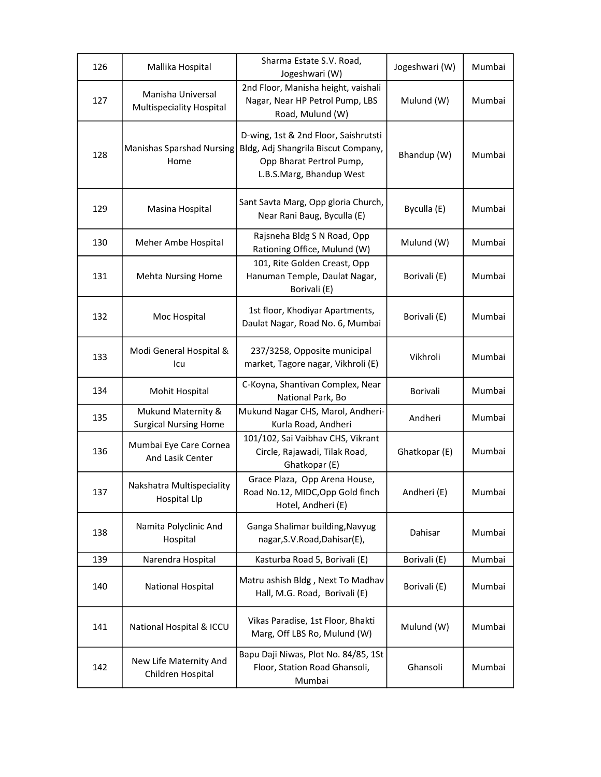| 126 | Mallika Hospital                                     | Sharma Estate S.V. Road,<br>Jogeshwari (W)                                                                                          | Jogeshwari (W) | Mumbai |
|-----|------------------------------------------------------|-------------------------------------------------------------------------------------------------------------------------------------|----------------|--------|
| 127 | Manisha Universal<br><b>Multispeciality Hospital</b> | 2nd Floor, Manisha height, vaishali<br>Nagar, Near HP Petrol Pump, LBS<br>Road, Mulund (W)                                          | Mulund (W)     | Mumbai |
| 128 | <b>Manishas Sparshad Nursing</b><br>Home             | D-wing, 1st & 2nd Floor, Saishrutsti<br>Bldg, Adj Shangrila Biscut Company,<br>Opp Bharat Pertrol Pump,<br>L.B.S.Marg, Bhandup West | Bhandup (W)    | Mumbai |
| 129 | Masina Hospital                                      | Sant Savta Marg, Opp gloria Church,<br>Near Rani Baug, Byculla (E)                                                                  | Byculla (E)    | Mumbai |
| 130 | Meher Ambe Hospital                                  | Rajsneha Bldg S N Road, Opp<br>Rationing Office, Mulund (W)                                                                         | Mulund (W)     | Mumbai |
| 131 | <b>Mehta Nursing Home</b>                            | 101, Rite Golden Creast, Opp<br>Hanuman Temple, Daulat Nagar,<br>Borivali (E)                                                       | Borivali (E)   | Mumbai |
| 132 | Moc Hospital                                         | 1st floor, Khodiyar Apartments,<br>Daulat Nagar, Road No. 6, Mumbai                                                                 | Borivali (E)   | Mumbai |
| 133 | Modi General Hospital &<br>lcu                       | 237/3258, Opposite municipal<br>market, Tagore nagar, Vikhroli (E)                                                                  | Vikhroli       | Mumbai |
| 134 | Mohit Hospital                                       | C-Koyna, Shantivan Complex, Near<br>National Park, Bo                                                                               | Borivali       | Mumbai |
| 135 | Mukund Maternity &<br><b>Surgical Nursing Home</b>   | Mukund Nagar CHS, Marol, Andheri-<br>Kurla Road, Andheri                                                                            | Andheri        | Mumbai |
| 136 | Mumbai Eye Care Cornea<br>And Lasik Center           | 101/102, Sai Vaibhav CHS, Vikrant<br>Circle, Rajawadi, Tilak Road,<br>Ghatkopar (E)                                                 | Ghatkopar (E)  | Mumbai |
| 137 | Nakshatra Multispeciality<br><b>Hospital Llp</b>     | Grace Plaza, Opp Arena House,<br>Road No.12, MIDC, Opp Gold finch<br>Hotel, Andheri (E)                                             | Andheri (E)    | Mumbai |
| 138 | Namita Polyclinic And<br>Hospital                    | Ganga Shalimar building, Navyug<br>nagar, S.V. Road, Dahisar(E),                                                                    | Dahisar        | Mumbai |
| 139 | Narendra Hospital                                    | Kasturba Road 5, Borivali (E)                                                                                                       | Borivali (E)   | Mumbai |
| 140 | National Hospital                                    | Matru ashish Bldg, Next To Madhav<br>Hall, M.G. Road, Borivali (E)                                                                  | Borivali (E)   | Mumbai |
| 141 | National Hospital & ICCU                             | Vikas Paradise, 1st Floor, Bhakti<br>Marg, Off LBS Ro, Mulund (W)                                                                   | Mulund (W)     | Mumbai |
| 142 | New Life Maternity And<br>Children Hospital          | Bapu Daji Niwas, Plot No. 84/85, 1St<br>Floor, Station Road Ghansoli,<br>Mumbai                                                     | Ghansoli       | Mumbai |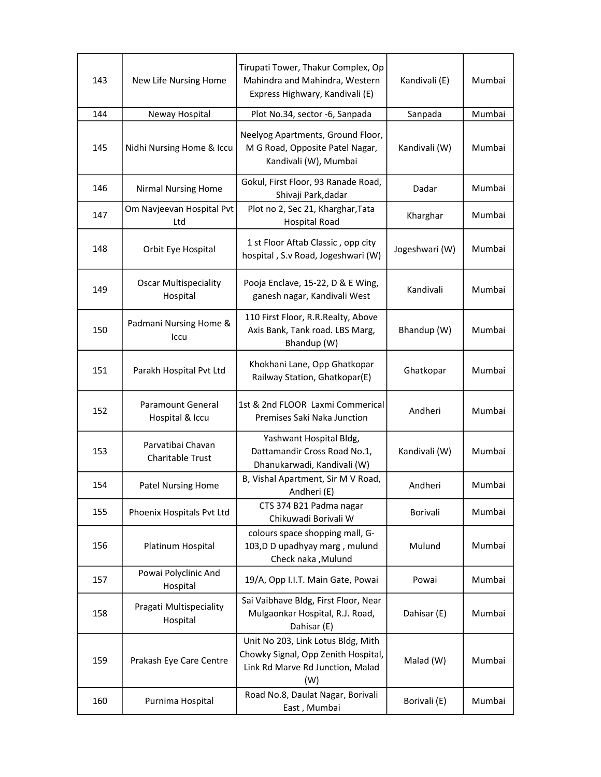| 143 | New Life Nursing Home                    | Tirupati Tower, Thakur Complex, Op<br>Mahindra and Mahindra, Western<br>Express Highwary, Kandivali (E)              | Kandivali (E)  | Mumbai |
|-----|------------------------------------------|----------------------------------------------------------------------------------------------------------------------|----------------|--------|
| 144 | Neway Hospital                           | Plot No.34, sector -6, Sanpada                                                                                       | Sanpada        | Mumbai |
| 145 | Nidhi Nursing Home & Iccu                | Neelyog Apartments, Ground Floor,<br>M G Road, Opposite Patel Nagar,<br>Kandivali (W), Mumbai                        | Kandivali (W)  | Mumbai |
| 146 | <b>Nirmal Nursing Home</b>               | Gokul, First Floor, 93 Ranade Road,<br>Shivaji Park, dadar                                                           | Dadar          | Mumbai |
| 147 | Om Navjeevan Hospital Pvt<br>Ltd         | Plot no 2, Sec 21, Kharghar, Tata<br><b>Hospital Road</b>                                                            | Kharghar       | Mumbai |
| 148 | Orbit Eye Hospital                       | 1 st Floor Aftab Classic, opp city<br>hospital, S.v Road, Jogeshwari (W)                                             | Jogeshwari (W) | Mumbai |
| 149 | <b>Oscar Multispeciality</b><br>Hospital | Pooja Enclave, 15-22, D & E Wing,<br>ganesh nagar, Kandivali West                                                    | Kandivali      | Mumbai |
| 150 | Padmani Nursing Home &<br>Iccu           | 110 First Floor, R.R.Realty, Above<br>Axis Bank, Tank road. LBS Marg,<br>Bhandup (W)                                 | Bhandup (W)    | Mumbai |
| 151 | Parakh Hospital Pvt Ltd                  | Khokhani Lane, Opp Ghatkopar<br>Railway Station, Ghatkopar(E)                                                        | Ghatkopar      | Mumbai |
| 152 | Paramount General<br>Hospital & Iccu     | 1st & 2nd FLOOR Laxmi Commerical<br>Premises Saki Naka Junction                                                      | Andheri        | Mumbai |
| 153 | Parvatibai Chavan<br>Charitable Trust    | Yashwant Hospital Bldg,<br>Dattamandir Cross Road No.1,<br>Dhanukarwadi, Kandivali (W)                               | Kandivali (W)  | Mumbai |
| 154 | <b>Patel Nursing Home</b>                | B, Vishal Apartment, Sir M V Road,<br>Andheri (E)                                                                    | Andheri        | Mumbai |
| 155 | Phoenix Hospitals Pvt Ltd                | CTS 374 B21 Padma nagar<br>Chikuwadi Borivali W                                                                      | Borivali       | Mumbai |
| 156 | Platinum Hospital                        | colours space shopping mall, G-<br>103, D D upadhyay marg, mulund<br>Check naka , Mulund                             | Mulund         | Mumbai |
| 157 | Powai Polyclinic And<br>Hospital         | 19/A, Opp I.I.T. Main Gate, Powai                                                                                    | Powai          | Mumbai |
| 158 | Pragati Multispeciality<br>Hospital      | Sai Vaibhave Bldg, First Floor, Near<br>Mulgaonkar Hospital, R.J. Road,<br>Dahisar (E)                               | Dahisar (E)    | Mumbai |
| 159 | Prakash Eye Care Centre                  | Unit No 203, Link Lotus Bldg, Mith<br>Chowky Signal, Opp Zenith Hospital,<br>Link Rd Marve Rd Junction, Malad<br>(W) | Malad (W)      | Mumbai |
| 160 | Purnima Hospital                         | Road No.8, Daulat Nagar, Borivali<br>East, Mumbai                                                                    | Borivali (E)   | Mumbai |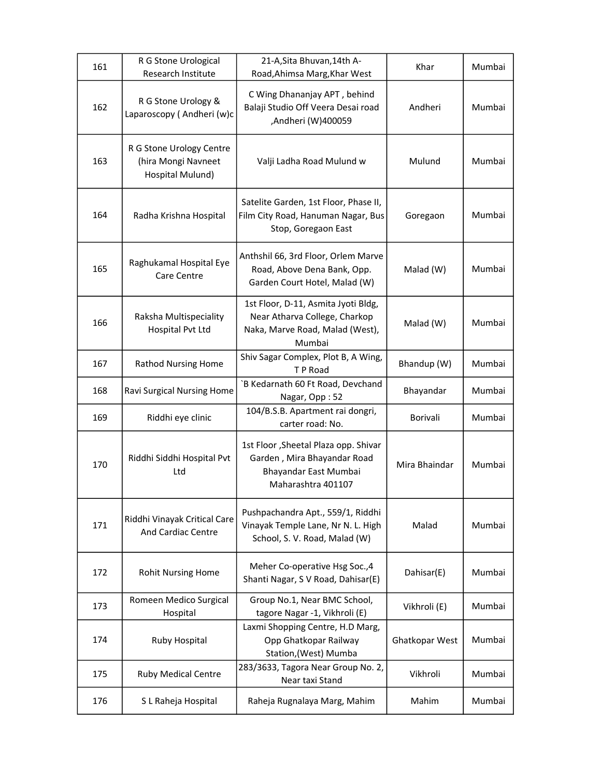| 161 | R G Stone Urological<br>Research Institute                          | 21-A, Sita Bhuvan, 14th A-<br>Road, Ahimsa Marg, Khar West                                                         | Khar            | Mumbai |
|-----|---------------------------------------------------------------------|--------------------------------------------------------------------------------------------------------------------|-----------------|--------|
| 162 | R G Stone Urology &<br>Laparoscopy (Andheri (w)c                    | C Wing Dhananjay APT, behind<br>Balaji Studio Off Veera Desai road<br>Andheri (W)400059,                           | Andheri         | Mumbai |
| 163 | R G Stone Urology Centre<br>(hira Mongi Navneet<br>Hospital Mulund) | Valji Ladha Road Mulund w                                                                                          | Mulund          | Mumbai |
| 164 | Radha Krishna Hospital                                              | Satelite Garden, 1st Floor, Phase II,<br>Film City Road, Hanuman Nagar, Bus<br>Stop, Goregaon East                 | Goregaon        | Mumbai |
| 165 | Raghukamal Hospital Eye<br>Care Centre                              | Anthshil 66, 3rd Floor, Orlem Marve<br>Road, Above Dena Bank, Opp.<br>Garden Court Hotel, Malad (W)                | Malad (W)       | Mumbai |
| 166 | Raksha Multispeciality<br>Hospital Pvt Ltd                          | 1st Floor, D-11, Asmita Jyoti Bldg,<br>Near Atharva College, Charkop<br>Naka, Marve Road, Malad (West),<br>Mumbai  | Malad (W)       | Mumbai |
| 167 | <b>Rathod Nursing Home</b>                                          | Shiv Sagar Complex, Plot B, A Wing,<br>T P Road                                                                    | Bhandup (W)     | Mumbai |
| 168 | Ravi Surgical Nursing Home                                          | `B Kedarnath 60 Ft Road, Devchand<br>Nagar, Opp: 52                                                                | Bhayandar       | Mumbai |
| 169 | Riddhi eye clinic                                                   | 104/B.S.B. Apartment rai dongri,<br>carter road: No.                                                               | <b>Borivali</b> | Mumbai |
| 170 | Riddhi Siddhi Hospital Pvt<br>Ltd                                   | 1st Floor, Sheetal Plaza opp. Shivar<br>Garden, Mira Bhayandar Road<br>Bhayandar East Mumbai<br>Maharashtra 401107 | Mira Bhaindar   | Mumbai |
| 171 | Riddhi Vinayak Critical Care<br>And Cardiac Centre                  | Pushpachandra Apt., 559/1, Riddhi<br>Vinayak Temple Lane, Nr N. L. High<br>School, S. V. Road, Malad (W)           | Malad           | Mumbai |
| 172 | <b>Rohit Nursing Home</b>                                           | Meher Co-operative Hsg Soc., 4<br>Shanti Nagar, S V Road, Dahisar(E)                                               | Dahisar(E)      | Mumbai |
| 173 | Romeen Medico Surgical<br>Hospital                                  | Group No.1, Near BMC School,<br>tagore Nagar -1, Vikhroli (E)                                                      | Vikhroli (E)    | Mumbai |
| 174 | Ruby Hospital                                                       | Laxmi Shopping Centre, H.D Marg,<br>Opp Ghatkopar Railway<br>Station, (West) Mumba                                 | Ghatkopar West  | Mumbai |
| 175 | <b>Ruby Medical Centre</b>                                          | 283/3633, Tagora Near Group No. 2,<br>Near taxi Stand                                                              | Vikhroli        | Mumbai |
| 176 | S L Raheja Hospital                                                 | Raheja Rugnalaya Marg, Mahim                                                                                       | Mahim           | Mumbai |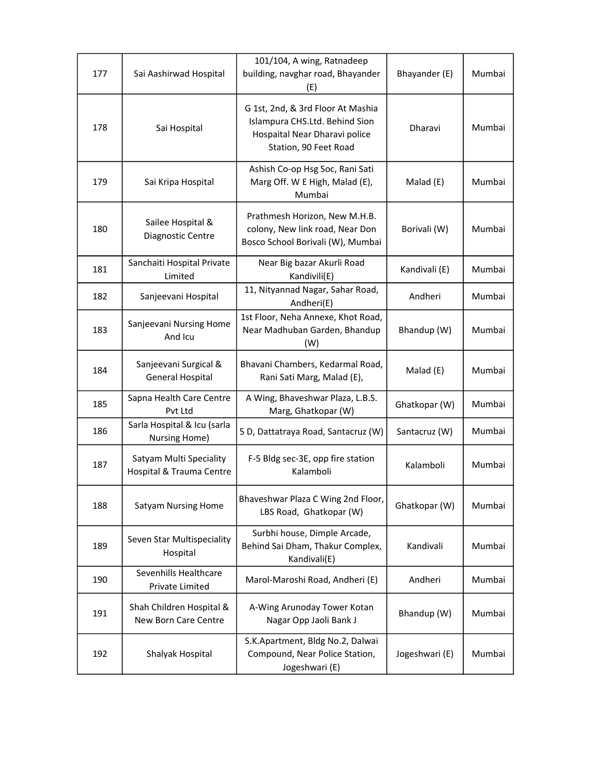| 177 | Sai Aashirwad Hospital                              | 101/104, A wing, Ratnadeep<br>building, navghar road, Bhayander<br>(E)                                                        | Bhayander (E)  | Mumbai |
|-----|-----------------------------------------------------|-------------------------------------------------------------------------------------------------------------------------------|----------------|--------|
| 178 | Sai Hospital                                        | G 1st, 2nd, & 3rd Floor At Mashia<br>Islampura CHS.Ltd. Behind Sion<br>Hospaital Near Dharavi police<br>Station, 90 Feet Road | Dharavi        | Mumbai |
| 179 | Sai Kripa Hospital                                  | Ashish Co-op Hsg Soc, Rani Sati<br>Marg Off. W E High, Malad (E),<br>Mumbai                                                   | Malad (E)      | Mumbai |
| 180 | Sailee Hospital &<br>Diagnostic Centre              | Prathmesh Horizon, New M.H.B.<br>colony, New link road, Near Don<br>Bosco School Borivali (W), Mumbai                         | Borivali (W)   | Mumbai |
| 181 | Sanchaiti Hospital Private<br>Limited               | Near Big bazar Akurli Road<br>Kandivili(E)                                                                                    | Kandivali (E)  | Mumbai |
| 182 | Sanjeevani Hospital                                 | 11, Nityannad Nagar, Sahar Road,<br>Andheri(E)                                                                                | Andheri        | Mumbai |
| 183 | Sanjeevani Nursing Home<br>And Icu                  | 1st Floor, Neha Annexe, Khot Road,<br>Near Madhuban Garden, Bhandup<br>(W)                                                    | Bhandup (W)    | Mumbai |
| 184 | Sanjeevani Surgical &<br><b>General Hospital</b>    | Bhavani Chambers, Kedarmal Road,<br>Rani Sati Marg, Malad (E),                                                                | Malad (E)      | Mumbai |
| 185 | Sapna Health Care Centre<br>Pvt Ltd                 | A Wing, Bhaveshwar Plaza, L.B.S.<br>Marg, Ghatkopar (W)                                                                       | Ghatkopar (W)  | Mumbai |
| 186 | Sarla Hospital & Icu (sarla<br>Nursing Home)        | 5 D, Dattatraya Road, Santacruz (W)                                                                                           | Santacruz (W)  | Mumbai |
| 187 | Satyam Multi Speciality<br>Hospital & Trauma Centre | F-5 Bldg sec-3E, opp fire station<br>Kalamboli                                                                                | Kalamboli      | Mumbai |
| 188 | <b>Satyam Nursing Home</b>                          | Bhaveshwar Plaza C Wing 2nd Floor,<br>LBS Road, Ghatkopar (W)                                                                 | Ghatkopar (W)  | Mumbai |
| 189 | Seven Star Multispeciality<br>Hospital              | Surbhi house, Dimple Arcade,<br>Behind Sai Dham, Thakur Complex,<br>Kandivali(E)                                              | Kandivali      | Mumbai |
| 190 | Sevenhills Healthcare<br>Private Limited            | Marol-Maroshi Road, Andheri (E)                                                                                               | Andheri        | Mumbai |
| 191 | Shah Children Hospital &<br>New Born Care Centre    | A-Wing Arunoday Tower Kotan<br>Nagar Opp Jaoli Bank J                                                                         | Bhandup (W)    | Mumbai |
| 192 | Shalyak Hospital                                    | S.K.Apartment, Bldg No.2, Dalwai<br>Compound, Near Police Station,<br>Jogeshwari (E)                                          | Jogeshwari (E) | Mumbai |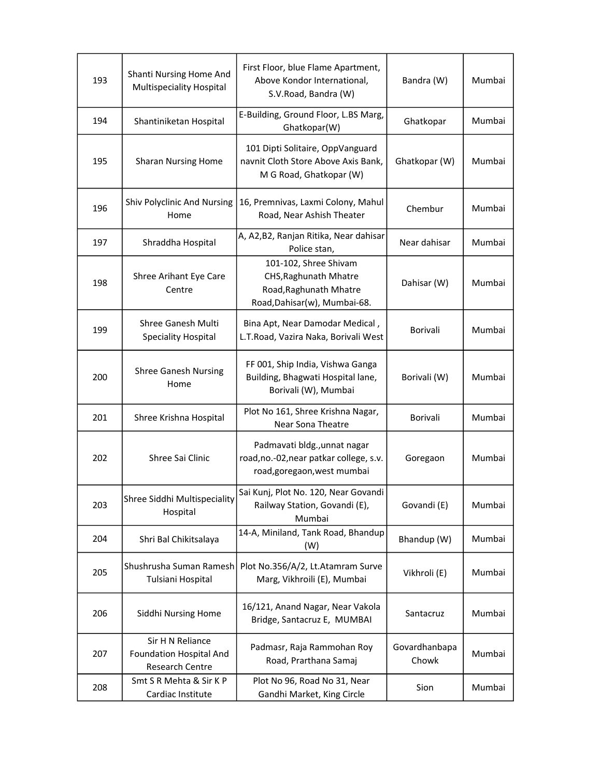| 193 | Shanti Nursing Home And<br>Multispeciality Hospital                   | First Floor, blue Flame Apartment,<br>Above Kondor International,<br>S.V.Road, Bandra (W)                | Bandra (W)             | Mumbai |
|-----|-----------------------------------------------------------------------|----------------------------------------------------------------------------------------------------------|------------------------|--------|
| 194 | Shantiniketan Hospital                                                | E-Building, Ground Floor, L.BS Marg,<br>Ghatkopar(W)                                                     | Ghatkopar              | Mumbai |
| 195 | <b>Sharan Nursing Home</b>                                            | 101 Dipti Solitaire, OppVanguard<br>navnit Cloth Store Above Axis Bank,<br>M G Road, Ghatkopar (W)       | Ghatkopar (W)          | Mumbai |
| 196 | <b>Shiv Polyclinic And Nursing</b><br>Home                            | 16, Premnivas, Laxmi Colony, Mahul<br>Road, Near Ashish Theater                                          | Chembur                | Mumbai |
| 197 | Shraddha Hospital                                                     | A, A2, B2, Ranjan Ritika, Near dahisar<br>Police stan,                                                   | Near dahisar           | Mumbai |
| 198 | Shree Arihant Eye Care<br>Centre                                      | 101-102, Shree Shivam<br>CHS, Raghunath Mhatre<br>Road, Raghunath Mhatre<br>Road, Dahisar(w), Mumbai-68. | Dahisar (W)            | Mumbai |
| 199 | Shree Ganesh Multi<br>Speciality Hospital                             | Bina Apt, Near Damodar Medical,<br>L.T.Road, Vazira Naka, Borivali West                                  | Borivali               | Mumbai |
| 200 | <b>Shree Ganesh Nursing</b><br>Home                                   | FF 001, Ship India, Vishwa Ganga<br>Building, Bhagwati Hospital lane,<br>Borivali (W), Mumbai            | Borivali (W)           | Mumbai |
| 201 | Shree Krishna Hospital                                                | Plot No 161, Shree Krishna Nagar,<br>Near Sona Theatre                                                   | Borivali               | Mumbai |
| 202 | Shree Sai Clinic                                                      | Padmavati bldg., unnat nagar<br>road, no.-02, near patkar college, s.v.<br>road, goregaon, west mumbai   | Goregaon               | Mumbai |
| 203 | Shree Siddhi Multispeciality<br>Hospital                              | Sai Kunj, Plot No. 120, Near Govandi<br>Railway Station, Govandi (E),<br>Mumbai                          | Govandi (E)            | Mumbai |
| 204 | Shri Bal Chikitsalaya                                                 | 14-A, Miniland, Tank Road, Bhandup<br>(W)                                                                | Bhandup (W)            | Mumbai |
| 205 | Shushrusha Suman Ramesh<br>Tulsiani Hospital                          | Plot No.356/A/2, Lt.Atamram Surve<br>Marg, Vikhroili (E), Mumbai                                         | Vikhroli (E)           | Mumbai |
| 206 | Siddhi Nursing Home                                                   | 16/121, Anand Nagar, Near Vakola<br>Bridge, Santacruz E, MUMBAI                                          | Santacruz              | Mumbai |
| 207 | Sir H N Reliance<br><b>Foundation Hospital And</b><br>Research Centre | Padmasr, Raja Rammohan Roy<br>Road, Prarthana Samaj                                                      | Govardhanbapa<br>Chowk | Mumbai |
| 208 | Smt S R Mehta & Sir K P<br>Cardiac Institute                          | Plot No 96, Road No 31, Near<br>Gandhi Market, King Circle                                               | Sion                   | Mumbai |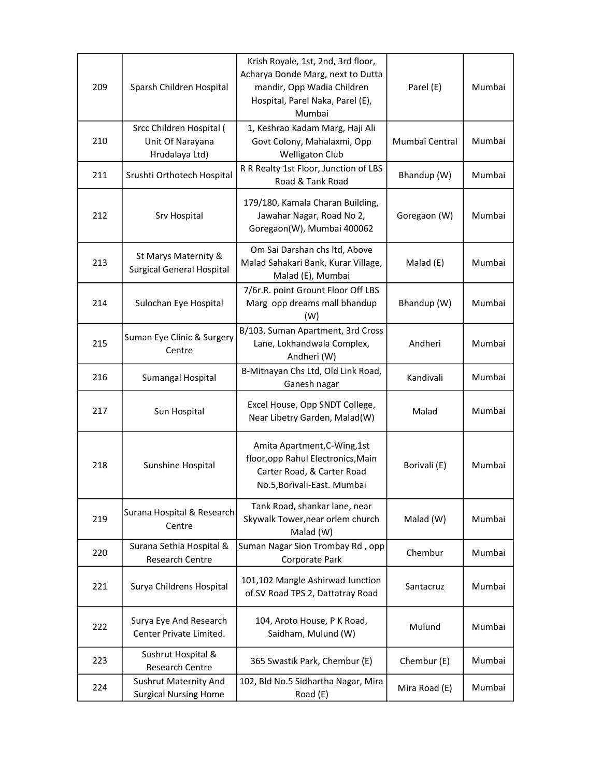| 209 | Sparsh Children Hospital                                       | Krish Royale, 1st, 2nd, 3rd floor,<br>Acharya Donde Marg, next to Dutta<br>mandir, Opp Wadia Children<br>Hospital, Parel Naka, Parel (E),<br>Mumbai | Parel (E)      | Mumbai |
|-----|----------------------------------------------------------------|-----------------------------------------------------------------------------------------------------------------------------------------------------|----------------|--------|
| 210 | Srcc Children Hospital (<br>Unit Of Narayana<br>Hrudalaya Ltd) | 1, Keshrao Kadam Marg, Haji Ali<br>Govt Colony, Mahalaxmi, Opp<br><b>Welligaton Club</b>                                                            | Mumbai Central | Mumbai |
| 211 | Srushti Orthotech Hospital                                     | R R Realty 1st Floor, Junction of LBS<br>Road & Tank Road                                                                                           | Bhandup (W)    | Mumbai |
| 212 | Srv Hospital                                                   | 179/180, Kamala Charan Building,<br>Jawahar Nagar, Road No 2,<br>Goregaon(W), Mumbai 400062                                                         | Goregaon (W)   | Mumbai |
| 213 | St Marys Maternity &<br><b>Surgical General Hospital</b>       | Om Sai Darshan chs ltd, Above<br>Malad Sahakari Bank, Kurar Village,<br>Malad (E), Mumbai                                                           | Malad (E)      | Mumbai |
| 214 | Sulochan Eye Hospital                                          | 7/6r.R. point Grount Floor Off LBS<br>Marg opp dreams mall bhandup<br>(W)                                                                           | Bhandup (W)    | Mumbai |
| 215 | Suman Eye Clinic & Surgery<br>Centre                           | B/103, Suman Apartment, 3rd Cross<br>Lane, Lokhandwala Complex,<br>Andheri (W)                                                                      | Andheri        | Mumbai |
| 216 | Sumangal Hospital                                              | B-Mitnayan Chs Ltd, Old Link Road,<br>Ganesh nagar                                                                                                  | Kandivali      | Mumbai |
| 217 | Sun Hospital                                                   | Excel House, Opp SNDT College,<br>Near Libetry Garden, Malad(W)                                                                                     | Malad          | Mumbai |
| 218 | Sunshine Hospital                                              | Amita Apartment, C-Wing, 1st<br>floor, opp Rahul Electronics, Main<br>Carter Road, & Carter Road<br>No.5, Borivali-East. Mumbai                     | Borivali (E)   | Mumbai |
| 219 | Surana Hospital & Research<br>Centre                           | Tank Road, shankar lane, near<br>Skywalk Tower, near orlem church<br>Malad (W)                                                                      | Malad (W)      | Mumbai |
| 220 | Surana Sethia Hospital &<br><b>Research Centre</b>             | Suman Nagar Sion Trombay Rd, opp<br>Corporate Park                                                                                                  | Chembur        | Mumbai |
| 221 | Surya Childrens Hospital                                       | 101,102 Mangle Ashirwad Junction<br>of SV Road TPS 2, Dattatray Road                                                                                | Santacruz      | Mumbai |
| 222 | Surya Eye And Research<br>Center Private Limited.              | 104, Aroto House, P K Road,<br>Saidham, Mulund (W)                                                                                                  | Mulund         | Mumbai |
| 223 | Sushrut Hospital &<br><b>Research Centre</b>                   | 365 Swastik Park, Chembur (E)                                                                                                                       | Chembur (E)    | Mumbai |
| 224 | <b>Sushrut Maternity And</b><br><b>Surgical Nursing Home</b>   | 102, Bld No.5 Sidhartha Nagar, Mira<br>Road (E)                                                                                                     | Mira Road (E)  | Mumbai |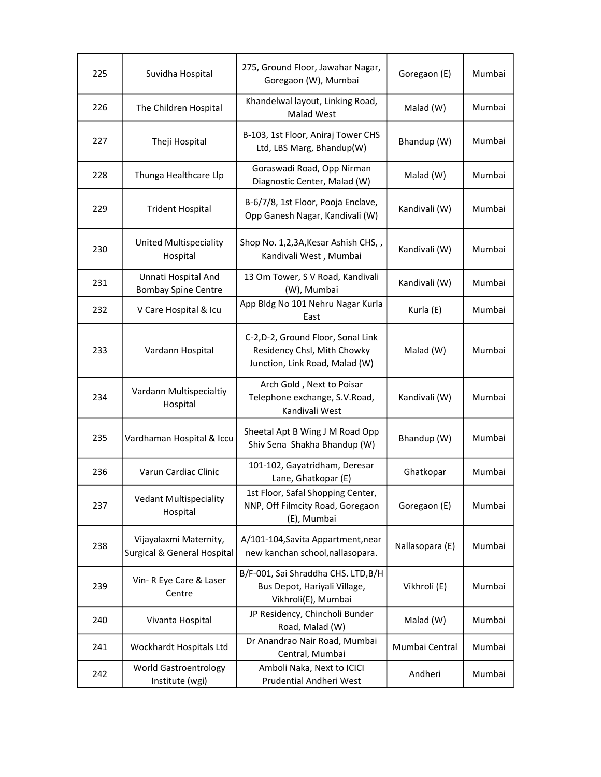| 225 | Suvidha Hospital                                                 | 275, Ground Floor, Jawahar Nagar,<br>Goregaon (W), Mumbai                                           | Goregaon (E)    | Mumbai |
|-----|------------------------------------------------------------------|-----------------------------------------------------------------------------------------------------|-----------------|--------|
| 226 | The Children Hospital                                            | Khandelwal layout, Linking Road,<br>Malad West                                                      | Malad (W)       | Mumbai |
| 227 | Theji Hospital                                                   | B-103, 1st Floor, Aniraj Tower CHS<br>Ltd, LBS Marg, Bhandup(W)                                     | Bhandup (W)     | Mumbai |
| 228 | Thunga Healthcare Llp                                            | Goraswadi Road, Opp Nirman<br>Diagnostic Center, Malad (W)                                          | Malad (W)       | Mumbai |
| 229 | <b>Trident Hospital</b>                                          | B-6/7/8, 1st Floor, Pooja Enclave,<br>Opp Ganesh Nagar, Kandivali (W)                               | Kandivali (W)   | Mumbai |
| 230 | United Multispeciality<br>Hospital                               | Shop No. 1,2,3A, Kesar Ashish CHS,,<br>Kandivali West, Mumbai                                       | Kandivali (W)   | Mumbai |
| 231 | Unnati Hospital And<br><b>Bombay Spine Centre</b>                | 13 Om Tower, S V Road, Kandivali<br>(W), Mumbai                                                     | Kandivali (W)   | Mumbai |
| 232 | V Care Hospital & Icu                                            | App Bldg No 101 Nehru Nagar Kurla<br>East                                                           | Kurla (E)       | Mumbai |
| 233 | Vardann Hospital                                                 | C-2, D-2, Ground Floor, Sonal Link<br>Residency Chsl, Mith Chowky<br>Junction, Link Road, Malad (W) | Malad (W)       | Mumbai |
| 234 | Vardann Multispecialtiy<br>Hospital                              | Arch Gold, Next to Poisar<br>Telephone exchange, S.V.Road,<br>Kandivali West                        | Kandivali (W)   | Mumbai |
| 235 | Vardhaman Hospital & Iccu                                        | Sheetal Apt B Wing J M Road Opp<br>Shiv Sena Shakha Bhandup (W)                                     | Bhandup (W)     | Mumbai |
| 236 | Varun Cardiac Clinic                                             | 101-102, Gayatridham, Deresar<br>Lane, Ghatkopar (E)                                                | Ghatkopar       | Mumbai |
| 237 | <b>Vedant Multispeciality</b><br>Hospital                        | 1st Floor, Safal Shopping Center,<br>NNP, Off Filmcity Road, Goregaon<br>(E), Mumbai                | Goregaon (E)    | Mumbai |
| 238 | Vijayalaxmi Maternity,<br><b>Surgical &amp; General Hospital</b> | A/101-104, Savita Appartment, near<br>new kanchan school, nallasopara.                              | Nallasopara (E) | Mumbai |
| 239 | Vin- R Eye Care & Laser<br>Centre                                | B/F-001, Sai Shraddha CHS. LTD, B/H<br>Bus Depot, Hariyali Village,<br>Vikhroli(E), Mumbai          | Vikhroli (E)    | Mumbai |
| 240 | Vivanta Hospital                                                 | JP Residency, Chincholi Bunder<br>Road, Malad (W)                                                   | Malad (W)       | Mumbai |
| 241 | Wockhardt Hospitals Ltd                                          | Dr Anandrao Nair Road, Mumbai<br>Central, Mumbai                                                    | Mumbai Central  | Mumbai |
| 242 | <b>World Gastroentrology</b><br>Institute (wgi)                  | Amboli Naka, Next to ICICI<br>Prudential Andheri West                                               | Andheri         | Mumbai |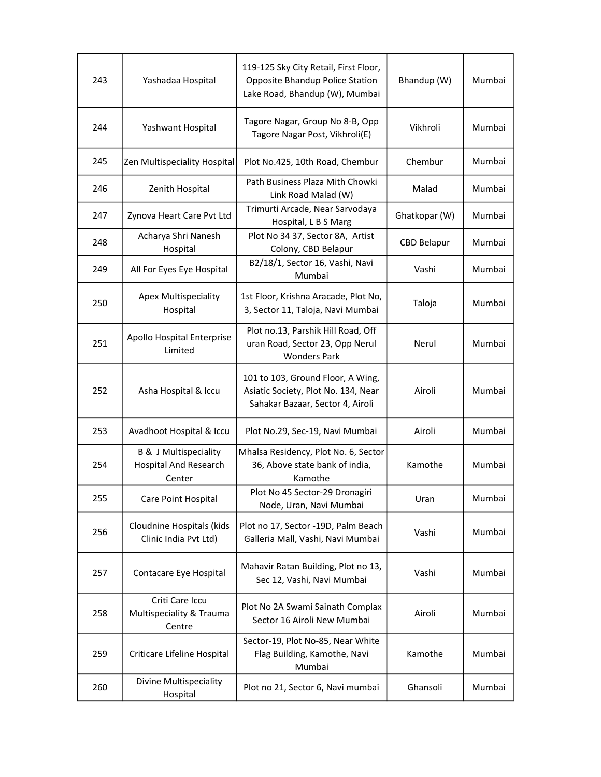| 243 | Yashadaa Hospital                                                          | 119-125 Sky City Retail, First Floor,<br>Opposite Bhandup Police Station<br>Lake Road, Bhandup (W), Mumbai   | Bhandup (W)        | Mumbai |
|-----|----------------------------------------------------------------------------|--------------------------------------------------------------------------------------------------------------|--------------------|--------|
| 244 | Yashwant Hospital                                                          | Tagore Nagar, Group No 8-B, Opp<br>Tagore Nagar Post, Vikhroli(E)                                            | Vikhroli           | Mumbai |
| 245 | Zen Multispeciality Hospital                                               | Plot No.425, 10th Road, Chembur                                                                              | Chembur            | Mumbai |
| 246 | Zenith Hospital                                                            | Path Business Plaza Mith Chowki<br>Link Road Malad (W)                                                       | Malad              | Mumbai |
| 247 | Zynova Heart Care Pvt Ltd                                                  | Trimurti Arcade, Near Sarvodaya<br>Hospital, L B S Marg                                                      | Ghatkopar (W)      | Mumbai |
| 248 | Acharya Shri Nanesh<br>Hospital                                            | Plot No 34 37, Sector 8A, Artist<br>Colony, CBD Belapur                                                      | <b>CBD Belapur</b> | Mumbai |
| 249 | All For Eyes Eye Hospital                                                  | B2/18/1, Sector 16, Vashi, Navi<br>Mumbai                                                                    | Vashi              | Mumbai |
| 250 | <b>Apex Multispeciality</b><br>Hospital                                    | 1st Floor, Krishna Aracade, Plot No,<br>3, Sector 11, Taloja, Navi Mumbai                                    | Taloja             | Mumbai |
| 251 | Apollo Hospital Enterprise<br>Limited                                      | Plot no.13, Parshik Hill Road, Off<br>uran Road, Sector 23, Opp Nerul<br><b>Wonders Park</b>                 | Nerul              | Mumbai |
| 252 | Asha Hospital & Iccu                                                       | 101 to 103, Ground Floor, A Wing,<br>Asiatic Society, Plot No. 134, Near<br>Sahakar Bazaar, Sector 4, Airoli | Airoli             | Mumbai |
| 253 | Avadhoot Hospital & Iccu                                                   | Plot No.29, Sec-19, Navi Mumbai                                                                              | Airoli             | Mumbai |
| 254 | <b>B &amp; J Multispeciality</b><br><b>Hospital And Research</b><br>Center | Mhalsa Residency, Plot No. 6, Sector<br>36, Above state bank of india,<br>Kamothe                            | Kamothe            | Mumbai |
| 255 | Care Point Hospital                                                        | Plot No 45 Sector-29 Dronagiri<br>Node, Uran, Navi Mumbai                                                    | Uran               | Mumbai |
| 256 | Cloudnine Hospitals (kids<br>Clinic India Pvt Ltd)                         | Plot no 17, Sector -19D, Palm Beach<br>Galleria Mall, Vashi, Navi Mumbai                                     | Vashi              | Mumbai |
| 257 | Contacare Eye Hospital                                                     | Mahavir Ratan Building, Plot no 13,<br>Sec 12, Vashi, Navi Mumbai                                            | Vashi              | Mumbai |
| 258 | Criti Care Iccu<br>Multispeciality & Trauma<br>Centre                      | Plot No 2A Swami Sainath Complax<br>Sector 16 Airoli New Mumbai                                              | Airoli             | Mumbai |
| 259 | Criticare Lifeline Hospital                                                | Sector-19, Plot No-85, Near White<br>Flag Building, Kamothe, Navi<br>Mumbai                                  | Kamothe            | Mumbai |
| 260 | Divine Multispeciality<br>Hospital                                         | Plot no 21, Sector 6, Navi mumbai                                                                            | Ghansoli           | Mumbai |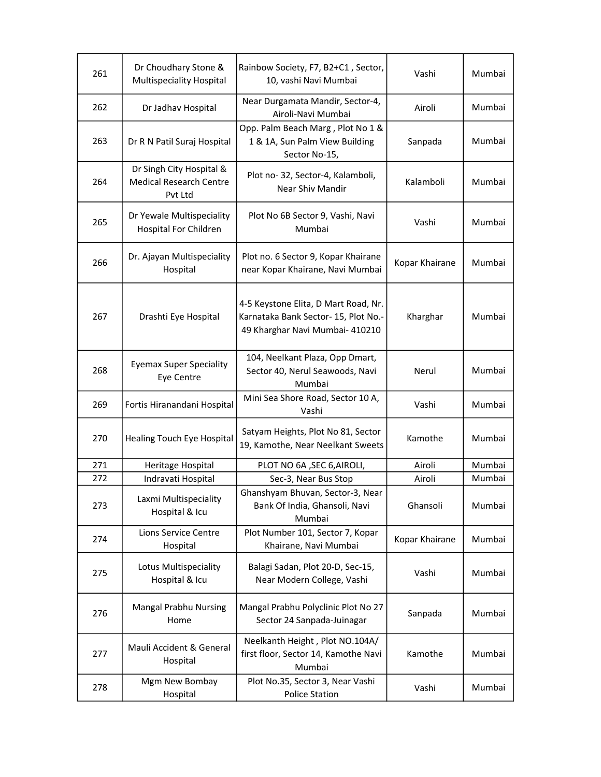| 261 | Dr Choudhary Stone &<br>Multispeciality Hospital                      | Rainbow Society, F7, B2+C1, Sector,<br>10, vashi Navi Mumbai                                                    | Vashi          | Mumbai |
|-----|-----------------------------------------------------------------------|-----------------------------------------------------------------------------------------------------------------|----------------|--------|
| 262 | Dr Jadhav Hospital                                                    | Near Durgamata Mandir, Sector-4,<br>Airoli-Navi Mumbai                                                          | Airoli         | Mumbai |
| 263 | Dr R N Patil Suraj Hospital                                           | Opp. Palm Beach Marg, Plot No 1 &<br>1 & 1A, Sun Palm View Building<br>Sector No-15,                            | Sanpada        | Mumbai |
| 264 | Dr Singh City Hospital &<br><b>Medical Research Centre</b><br>Pvt Ltd | Plot no-32, Sector-4, Kalamboli,<br>Near Shiv Mandir                                                            | Kalamboli      | Mumbai |
| 265 | Dr Yewale Multispeciality<br>Hospital For Children                    | Plot No 6B Sector 9, Vashi, Navi<br>Mumbai                                                                      | Vashi          | Mumbai |
| 266 | Dr. Ajayan Multispeciality<br>Hospital                                | Plot no. 6 Sector 9, Kopar Khairane<br>near Kopar Khairane, Navi Mumbai                                         | Kopar Khairane | Mumbai |
| 267 | Drashti Eye Hospital                                                  | 4-5 Keystone Elita, D Mart Road, Nr.<br>Karnataka Bank Sector- 15, Plot No.-<br>49 Kharghar Navi Mumbai- 410210 | Kharghar       | Mumbai |
| 268 | <b>Eyemax Super Speciality</b><br>Eye Centre                          | 104, Neelkant Plaza, Opp Dmart,<br>Sector 40, Nerul Seawoods, Navi<br>Mumbai                                    | Nerul          | Mumbai |
| 269 | Fortis Hiranandani Hospital                                           | Mini Sea Shore Road, Sector 10 A,<br>Vashi                                                                      | Vashi          | Mumbai |
| 270 | <b>Healing Touch Eye Hospital</b>                                     | Satyam Heights, Plot No 81, Sector<br>19, Kamothe, Near Neelkant Sweets                                         | Kamothe        | Mumbai |
| 271 | Heritage Hospital                                                     | PLOT NO 6A, SEC 6, AIROLI,                                                                                      | Airoli         | Mumbai |
| 272 | Indravati Hospital                                                    | Sec-3, Near Bus Stop                                                                                            | Airoli         | Mumbai |
| 273 | Laxmi Multispeciality<br>Hospital & Icu                               | Ghanshyam Bhuvan, Sector-3, Near<br>Bank Of India, Ghansoli, Navi<br>Mumbai                                     | Ghansoli       | Mumbai |
| 274 | Lions Service Centre<br>Hospital                                      | Plot Number 101, Sector 7, Kopar<br>Khairane, Navi Mumbai                                                       | Kopar Khairane | Mumbai |
| 275 | Lotus Multispeciality<br>Hospital & Icu                               | Balagi Sadan, Plot 20-D, Sec-15,<br>Near Modern College, Vashi                                                  | Vashi          | Mumbai |
| 276 | <b>Mangal Prabhu Nursing</b><br>Home                                  | Mangal Prabhu Polyclinic Plot No 27<br>Sector 24 Sanpada-Juinagar                                               | Sanpada        | Mumbai |
| 277 | Mauli Accident & General<br>Hospital                                  | Neelkanth Height, Plot NO.104A/<br>first floor, Sector 14, Kamothe Navi<br>Mumbai                               | Kamothe        | Mumbai |
| 278 | Mgm New Bombay<br>Hospital                                            | Plot No.35, Sector 3, Near Vashi<br><b>Police Station</b>                                                       | Vashi          | Mumbai |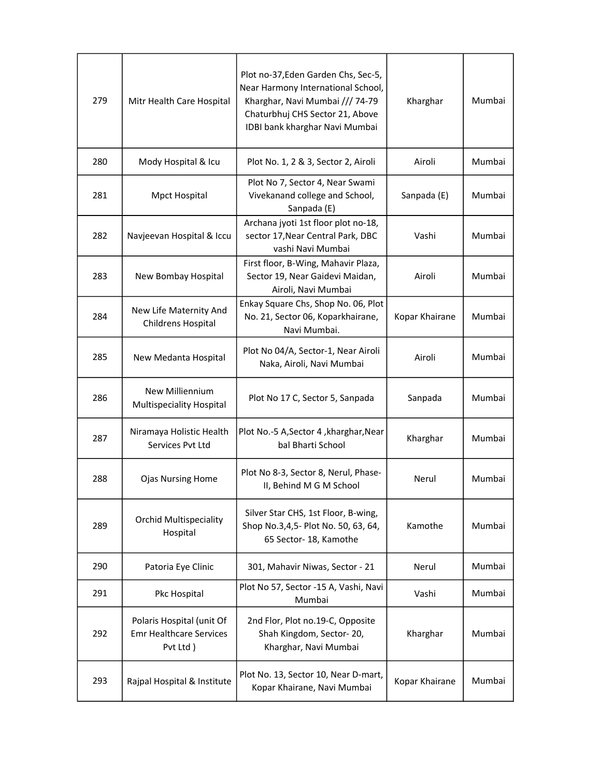| 279 | Mitr Health Care Hospital                                                | Plot no-37, Eden Garden Chs, Sec-5,<br>Near Harmony International School,<br>Kharghar, Navi Mumbai /// 74-79<br>Chaturbhuj CHS Sector 21, Above<br>IDBI bank kharghar Navi Mumbai | Kharghar       | Mumbai |
|-----|--------------------------------------------------------------------------|-----------------------------------------------------------------------------------------------------------------------------------------------------------------------------------|----------------|--------|
| 280 | Mody Hospital & Icu                                                      | Plot No. 1, 2 & 3, Sector 2, Airoli                                                                                                                                               | Airoli         | Mumbai |
| 281 | Mpct Hospital                                                            | Plot No 7, Sector 4, Near Swami<br>Vivekanand college and School,<br>Sanpada (E)                                                                                                  | Sanpada (E)    | Mumbai |
| 282 | Navjeevan Hospital & Iccu                                                | Archana jyoti 1st floor plot no-18,<br>sector 17, Near Central Park, DBC<br>vashi Navi Mumbai                                                                                     | Vashi          | Mumbai |
| 283 | New Bombay Hospital                                                      | First floor, B-Wing, Mahavir Plaza,<br>Sector 19, Near Gaidevi Maidan,<br>Airoli, Navi Mumbai                                                                                     | Airoli         | Mumbai |
| 284 | New Life Maternity And<br>Childrens Hospital                             | Enkay Square Chs, Shop No. 06, Plot<br>No. 21, Sector 06, Koparkhairane,<br>Navi Mumbai.                                                                                          | Kopar Khairane | Mumbai |
| 285 | New Medanta Hospital                                                     | Plot No 04/A, Sector-1, Near Airoli<br>Naka, Airoli, Navi Mumbai                                                                                                                  | Airoli         | Mumbai |
| 286 | <b>New Milliennium</b><br>Multispeciality Hospital                       | Plot No 17 C, Sector 5, Sanpada                                                                                                                                                   | Sanpada        | Mumbai |
| 287 | Niramaya Holistic Health<br>Services Pvt Ltd                             | Plot No.-5 A, Sector 4, kharghar, Near<br>bal Bharti School                                                                                                                       | Kharghar       | Mumbai |
| 288 | <b>Ojas Nursing Home</b>                                                 | Plot No 8-3, Sector 8, Nerul, Phase-<br>II, Behind M G M School                                                                                                                   | Nerul          | Mumbai |
| 289 | <b>Orchid Multispeciality</b><br>Hospital                                | Silver Star CHS, 1st Floor, B-wing,<br>Shop No.3,4,5- Plot No. 50, 63, 64,<br>65 Sector- 18, Kamothe                                                                              | Kamothe        | Mumbai |
| 290 | Patoria Eye Clinic                                                       | 301, Mahavir Niwas, Sector - 21                                                                                                                                                   | Nerul          | Mumbai |
| 291 | Pkc Hospital                                                             | Plot No 57, Sector -15 A, Vashi, Navi<br>Mumbai                                                                                                                                   | Vashi          | Mumbai |
| 292 | Polaris Hospital (unit Of<br><b>Emr Healthcare Services</b><br>Pvt Ltd ) | 2nd Flor, Plot no.19-C, Opposite<br>Shah Kingdom, Sector-20,<br>Kharghar, Navi Mumbai                                                                                             | Kharghar       | Mumbai |
| 293 | Rajpal Hospital & Institute                                              | Plot No. 13, Sector 10, Near D-mart,<br>Kopar Khairane, Navi Mumbai                                                                                                               | Kopar Khairane | Mumbai |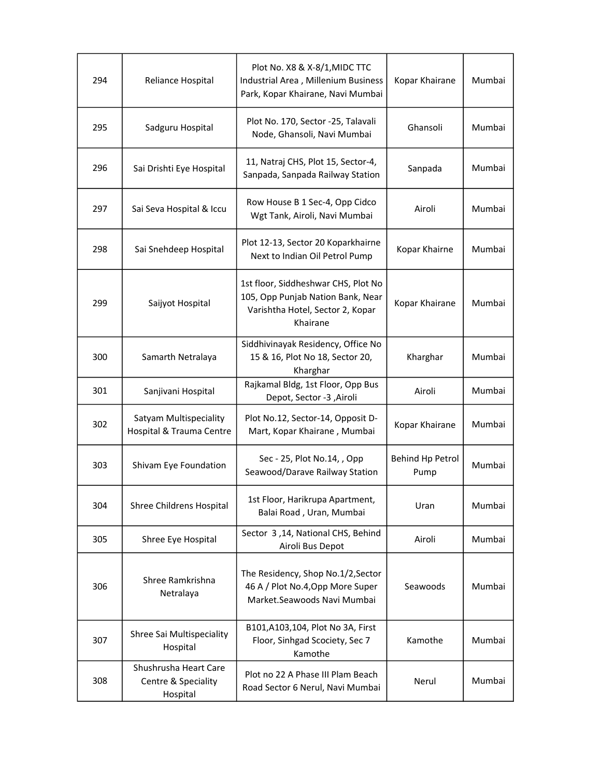| 294 | Reliance Hospital                                        | Plot No. X8 & X-8/1, MIDC TTC<br>Industrial Area, Millenium Business<br>Park, Kopar Khairane, Navi Mumbai                | Kopar Khairane           | Mumbai |
|-----|----------------------------------------------------------|--------------------------------------------------------------------------------------------------------------------------|--------------------------|--------|
| 295 | Sadguru Hospital                                         | Plot No. 170, Sector -25, Talavali<br>Node, Ghansoli, Navi Mumbai                                                        | Ghansoli                 | Mumbai |
| 296 | Sai Drishti Eye Hospital                                 | 11, Natraj CHS, Plot 15, Sector-4,<br>Sanpada, Sanpada Railway Station                                                   | Sanpada                  | Mumbai |
| 297 | Sai Seva Hospital & Iccu                                 | Row House B 1 Sec-4, Opp Cidco<br>Wgt Tank, Airoli, Navi Mumbai                                                          | Airoli                   | Mumbai |
| 298 | Sai Snehdeep Hospital                                    | Plot 12-13, Sector 20 Koparkhairne<br>Next to Indian Oil Petrol Pump                                                     | Kopar Khairne            | Mumbai |
| 299 | Saijyot Hospital                                         | 1st floor, Siddheshwar CHS, Plot No<br>105, Opp Punjab Nation Bank, Near<br>Varishtha Hotel, Sector 2, Kopar<br>Khairane | Kopar Khairane           | Mumbai |
| 300 | Samarth Netralaya                                        | Siddhivinayak Residency, Office No<br>15 & 16, Plot No 18, Sector 20,<br>Kharghar                                        | Kharghar                 | Mumbai |
| 301 | Sanjivani Hospital                                       | Rajkamal Bldg, 1st Floor, Opp Bus<br>Depot, Sector -3 , Airoli                                                           | Airoli                   | Mumbai |
| 302 | Satyam Multispeciality<br>Hospital & Trauma Centre       | Plot No.12, Sector-14, Opposit D-<br>Mart, Kopar Khairane, Mumbai                                                        | Kopar Khairane           | Mumbai |
| 303 | Shivam Eye Foundation                                    | Sec - 25, Plot No.14, , Opp<br>Seawood/Darave Railway Station                                                            | Behind Hp Petrol<br>Pump | Mumbai |
| 304 | Shree Childrens Hospital                                 | 1st Floor, Harikrupa Apartment,<br>Balai Road, Uran, Mumbai                                                              | Uran                     | Mumbai |
| 305 | Shree Eye Hospital                                       | Sector 3,14, National CHS, Behind<br>Airoli Bus Depot                                                                    | Airoli                   | Mumbai |
| 306 | Shree Ramkrishna<br>Netralaya                            | The Residency, Shop No.1/2, Sector<br>46 A / Plot No.4, Opp More Super<br>Market.Seawoods Navi Mumbai                    | Seawoods                 | Mumbai |
| 307 | Shree Sai Multispeciality<br>Hospital                    | B101, A103, 104, Plot No 3A, First<br>Floor, Sinhgad Scociety, Sec 7<br>Kamothe                                          | Kamothe                  | Mumbai |
| 308 | Shushrusha Heart Care<br>Centre & Speciality<br>Hospital | Plot no 22 A Phase III Plam Beach<br>Road Sector 6 Nerul, Navi Mumbai                                                    | Nerul                    | Mumbai |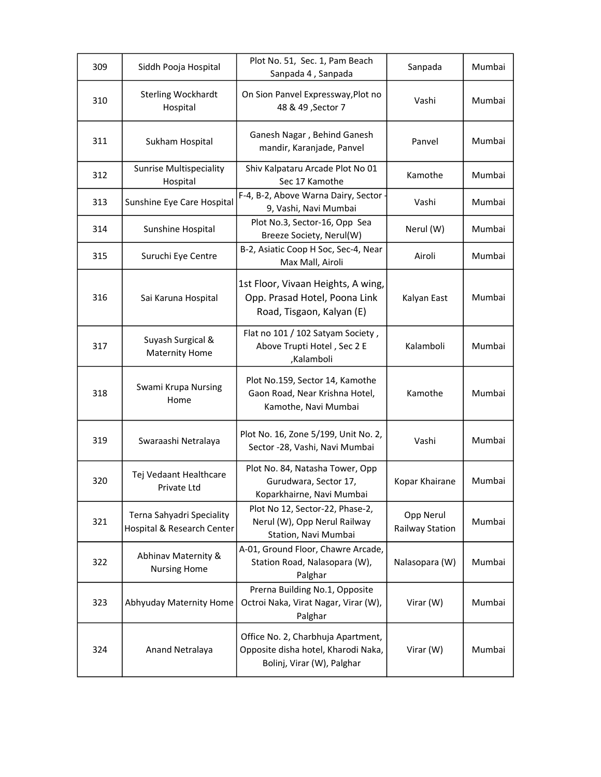| 309 | Siddh Pooja Hospital                                    | Plot No. 51, Sec. 1, Pam Beach<br>Sanpada 4, Sanpada                                                    | Sanpada                             | Mumbai |
|-----|---------------------------------------------------------|---------------------------------------------------------------------------------------------------------|-------------------------------------|--------|
| 310 | <b>Sterling Wockhardt</b><br>Hospital                   | On Sion Panvel Expressway, Plot no<br>48 & 49, Sector 7                                                 | Vashi                               | Mumbai |
| 311 | Sukham Hospital                                         | Ganesh Nagar, Behind Ganesh<br>mandir, Karanjade, Panvel                                                | Panvel                              | Mumbai |
| 312 | <b>Sunrise Multispeciality</b><br>Hospital              | Shiv Kalpataru Arcade Plot No 01<br>Sec 17 Kamothe                                                      | Kamothe                             | Mumbai |
| 313 | Sunshine Eye Care Hospital                              | F-4, B-2, Above Warna Dairy, Sector<br>9, Vashi, Navi Mumbai                                            | Vashi                               | Mumbai |
| 314 | Sunshine Hospital                                       | Plot No.3, Sector-16, Opp Sea<br>Breeze Society, Nerul(W)                                               | Nerul (W)                           | Mumbai |
| 315 | Suruchi Eye Centre                                      | B-2, Asiatic Coop H Soc, Sec-4, Near<br>Max Mall, Airoli                                                | Airoli                              | Mumbai |
| 316 | Sai Karuna Hospital                                     | 1st Floor, Vivaan Heights, A wing,<br>Opp. Prasad Hotel, Poona Link<br>Road, Tisgaon, Kalyan (E)        | Kalyan East                         | Mumbai |
| 317 | Suyash Surgical &<br><b>Maternity Home</b>              | Flat no 101 / 102 Satyam Society,<br>Above Trupti Hotel, Sec 2 E<br>,Kalamboli                          | Kalamboli                           | Mumbai |
| 318 | Swami Krupa Nursing<br>Home                             | Plot No.159, Sector 14, Kamothe<br>Gaon Road, Near Krishna Hotel,<br>Kamothe, Navi Mumbai               | Kamothe                             | Mumbai |
| 319 | Swaraashi Netralaya                                     | Plot No. 16, Zone 5/199, Unit No. 2,<br>Sector -28, Vashi, Navi Mumbai                                  | Vashi                               | Mumbai |
| 320 | Tej Vedaant Healthcare<br>Private Ltd                   | Plot No. 84, Natasha Tower, Opp<br>Gurudwara, Sector 17,<br>Koparkhairne, Navi Mumbai                   | Kopar Khairane                      | Mumbai |
| 321 | Terna Sahyadri Speciality<br>Hospital & Research Center | Plot No 12, Sector-22, Phase-2,<br>Nerul (W), Opp Nerul Railway<br>Station, Navi Mumbai                 | Opp Nerul<br><b>Railway Station</b> | Mumbai |
| 322 | Abhinav Maternity &<br><b>Nursing Home</b>              | A-01, Ground Floor, Chawre Arcade,<br>Station Road, Nalasopara (W),<br>Palghar                          | Nalasopara (W)                      | Mumbai |
| 323 | Abhyuday Maternity Home                                 | Prerna Building No.1, Opposite<br>Octroi Naka, Virat Nagar, Virar (W),<br>Palghar                       | Virar (W)                           | Mumbai |
| 324 | Anand Netralaya                                         | Office No. 2, Charbhuja Apartment,<br>Opposite disha hotel, Kharodi Naka,<br>Bolinj, Virar (W), Palghar | Virar (W)                           | Mumbai |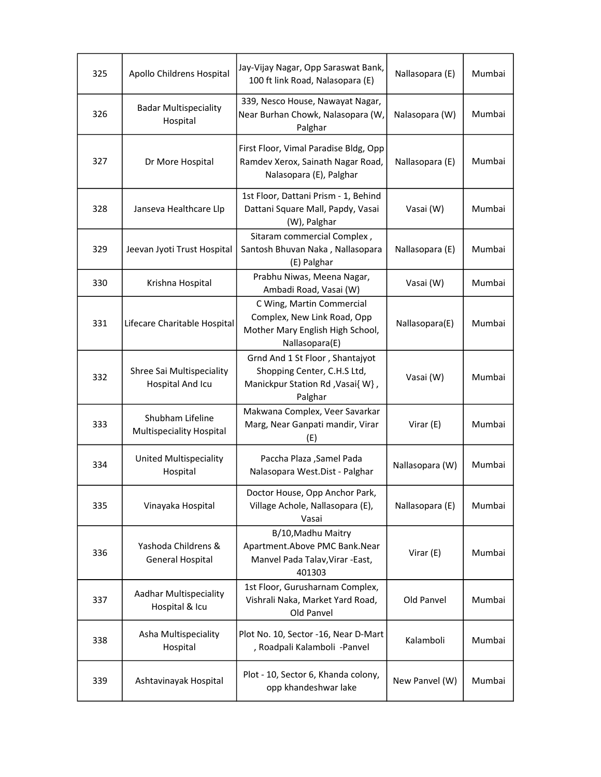| 325 | Apollo Childrens Hospital                           | Jay-Vijay Nagar, Opp Saraswat Bank,<br>100 ft link Road, Nalasopara (E)                                        | Nallasopara (E) | Mumbai |
|-----|-----------------------------------------------------|----------------------------------------------------------------------------------------------------------------|-----------------|--------|
| 326 | <b>Badar Multispeciality</b><br>Hospital            | 339, Nesco House, Nawayat Nagar,<br>Near Burhan Chowk, Nalasopara (W,<br>Palghar                               | Nalasopara (W)  | Mumbai |
| 327 | Dr More Hospital                                    | First Floor, Vimal Paradise Bldg, Opp<br>Ramdev Xerox, Sainath Nagar Road,<br>Nalasopara (E), Palghar          | Nallasopara (E) | Mumbai |
| 328 | Janseva Healthcare Llp                              | 1st Floor, Dattani Prism - 1, Behind<br>Dattani Square Mall, Papdy, Vasai<br>(W), Palghar                      | Vasai (W)       | Mumbai |
| 329 | Jeevan Jyoti Trust Hospital                         | Sitaram commercial Complex,<br>Santosh Bhuvan Naka, Nallasopara<br>(E) Palghar                                 | Nallasopara (E) | Mumbai |
| 330 | Krishna Hospital                                    | Prabhu Niwas, Meena Nagar,<br>Ambadi Road, Vasai (W)                                                           | Vasai (W)       | Mumbai |
| 331 | Lifecare Charitable Hospital                        | C Wing, Martin Commercial<br>Complex, New Link Road, Opp<br>Mother Mary English High School,<br>Nallasopara(E) | Nallasopara(E)  | Mumbai |
| 332 | Shree Sai Multispeciality<br>Hospital And Icu       | Grnd And 1 St Floor, Shantajyot<br>Shopping Center, C.H.S Ltd,<br>Manickpur Station Rd, Vasai{ W},<br>Palghar  | Vasai (W)       | Mumbai |
| 333 | Shubham Lifeline<br><b>Multispeciality Hospital</b> | Makwana Complex, Veer Savarkar<br>Marg, Near Ganpati mandir, Virar<br>(E)                                      | Virar (E)       | Mumbai |
| 334 | <b>United Multispeciality</b><br>Hospital           | Paccha Plaza , Samel Pada<br>Nalasopara West.Dist - Palghar                                                    | Nallasopara (W) | Mumbai |
| 335 | Vinayaka Hospital                                   | Doctor House, Opp Anchor Park,<br>Village Achole, Nallasopara (E),<br>Vasai                                    | Nallasopara (E) | Mumbai |
| 336 | Yashoda Childrens &<br><b>General Hospital</b>      | B/10, Madhu Maitry<br>Apartment.Above PMC Bank.Near<br>Manvel Pada Talav, Virar - East,<br>401303              | Virar (E)       | Mumbai |
| 337 | Aadhar Multispeciality<br>Hospital & Icu            | 1st Floor, Gurusharnam Complex,<br>Vishrali Naka, Market Yard Road,<br>Old Panvel                              | Old Panvel      | Mumbai |
| 338 | Asha Multispeciality<br>Hospital                    | Plot No. 10, Sector -16, Near D-Mart<br>, Roadpali Kalamboli -Panvel                                           | Kalamboli       | Mumbai |
| 339 | Ashtavinayak Hospital                               | Plot - 10, Sector 6, Khanda colony,<br>opp khandeshwar lake                                                    | New Panvel (W)  | Mumbai |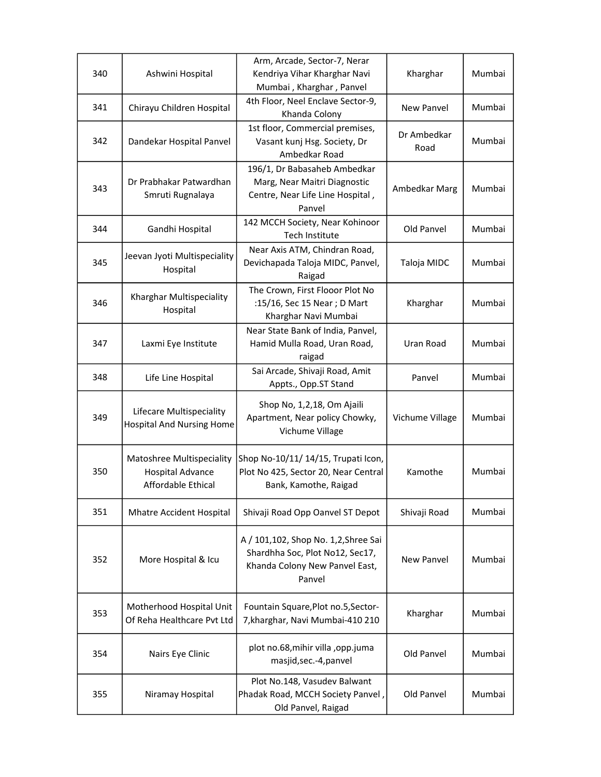| 340 | Ashwini Hospital                                                           | Arm, Arcade, Sector-7, Nerar<br>Kendriya Vihar Kharghar Navi<br>Mumbai, Kharghar, Panvel                            | Kharghar            | Mumbai |
|-----|----------------------------------------------------------------------------|---------------------------------------------------------------------------------------------------------------------|---------------------|--------|
| 341 | Chirayu Children Hospital                                                  | 4th Floor, Neel Enclave Sector-9,<br>Khanda Colony                                                                  | New Panvel          | Mumbai |
| 342 | Dandekar Hospital Panvel                                                   | 1st floor, Commercial premises,<br>Vasant kunj Hsg. Society, Dr<br>Ambedkar Road                                    | Dr Ambedkar<br>Road | Mumbai |
| 343 | Dr Prabhakar Patwardhan<br>Smruti Rugnalaya                                | 196/1, Dr Babasaheb Ambedkar<br>Marg, Near Maitri Diagnostic<br>Centre, Near Life Line Hospital,<br>Panvel          | Ambedkar Marg       | Mumbai |
| 344 | Gandhi Hospital                                                            | 142 MCCH Society, Near Kohinoor<br>Tech Institute                                                                   | Old Panvel          | Mumbai |
| 345 | Jeevan Jyoti Multispeciality<br>Hospital                                   | Near Axis ATM, Chindran Road,<br>Devichapada Taloja MIDC, Panvel,<br>Raigad                                         | Taloja MIDC         | Mumbai |
| 346 | Kharghar Multispeciality<br>Hospital                                       | The Crown, First Flooor Plot No<br>:15/16, Sec 15 Near ; D Mart<br>Kharghar Navi Mumbai                             | Kharghar            | Mumbai |
| 347 | Laxmi Eye Institute                                                        | Near State Bank of India, Panvel,<br>Hamid Mulla Road, Uran Road,<br>raigad                                         | Uran Road           | Mumbai |
| 348 | Life Line Hospital                                                         | Sai Arcade, Shivaji Road, Amit<br>Appts., Opp.ST Stand                                                              | Panvel              | Mumbai |
| 349 | Lifecare Multispeciality<br><b>Hospital And Nursing Home</b>               | Shop No, 1,2,18, Om Ajaili<br>Apartment, Near policy Chowky,<br>Vichume Village                                     | Vichume Village     | Mumbai |
| 350 | Matoshree Multispeciality<br><b>Hospital Advance</b><br>Affordable Ethical | Shop No-10/11/ 14/15, Trupati Icon,<br>Plot No 425, Sector 20, Near Central<br>Bank, Kamothe, Raigad                | Kamothe             | Mumbai |
| 351 | <b>Mhatre Accident Hospital</b>                                            | Shivaji Road Opp Oanvel ST Depot                                                                                    | Shivaji Road        | Mumbai |
| 352 | More Hospital & Icu                                                        | A / 101,102, Shop No. 1,2, Shree Sai<br>Shardhha Soc, Plot No12, Sec17,<br>Khanda Colony New Panvel East,<br>Panvel | <b>New Panyel</b>   | Mumbai |
| 353 | Motherhood Hospital Unit<br>Of Reha Healthcare Pvt Ltd                     | Fountain Square, Plot no.5, Sector-<br>7, kharghar, Navi Mumbai-410 210                                             | Kharghar            | Mumbai |
| 354 | Nairs Eye Clinic                                                           | plot no.68, mihir villa, opp.juma<br>masjid, sec.-4, panvel                                                         | Old Panvel          | Mumbai |
| 355 | Niramay Hospital                                                           | Plot No.148, Vasudev Balwant<br>Phadak Road, MCCH Society Panvel,<br>Old Panvel, Raigad                             | Old Panvel          | Mumbai |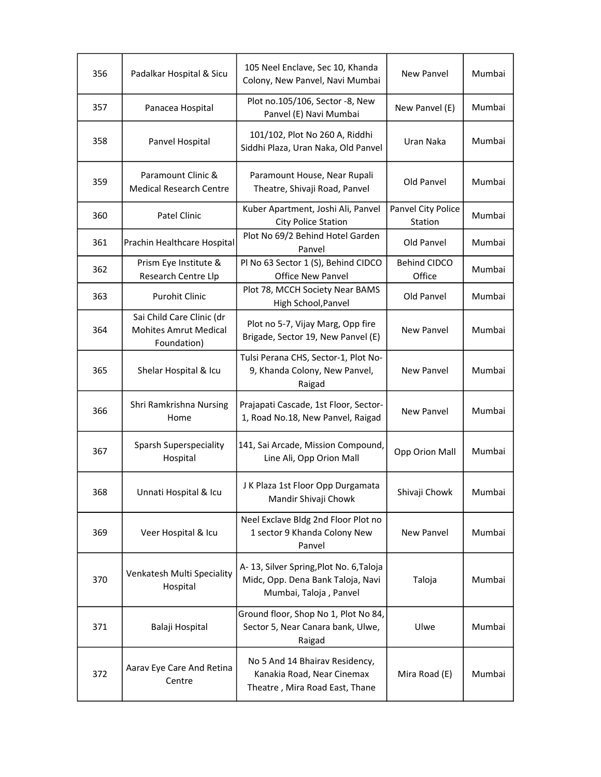| 356 | Padalkar Hospital & Sicu                                                 | 105 Neel Enclave, Sec 10, Khanda<br>Colony, New Panvel, Navi Mumbai                                    | New Panvel                    | Mumbai |
|-----|--------------------------------------------------------------------------|--------------------------------------------------------------------------------------------------------|-------------------------------|--------|
| 357 | Panacea Hospital                                                         | Plot no.105/106, Sector -8, New<br>Panvel (E) Navi Mumbai                                              | New Panvel (E)                | Mumbai |
| 358 | Panvel Hospital                                                          | 101/102, Plot No 260 A, Riddhi<br>Siddhi Plaza, Uran Naka, Old Panvel                                  | Uran Naka                     | Mumbai |
| 359 | Paramount Clinic &<br><b>Medical Research Centre</b>                     | Paramount House, Near Rupali<br>Theatre, Shivaji Road, Panvel                                          | Old Panvel                    | Mumbai |
| 360 | Patel Clinic                                                             | Kuber Apartment, Joshi Ali, Panvel<br><b>City Police Station</b>                                       | Panvel City Police<br>Station | Mumbai |
| 361 | Prachin Healthcare Hospital                                              | Plot No 69/2 Behind Hotel Garden<br>Panvel                                                             | Old Panvel                    | Mumbai |
| 362 | Prism Eye Institute &<br>Research Centre Llp                             | Pl No 63 Sector 1 (S), Behind CIDCO<br><b>Office New Panvel</b>                                        | <b>Behind CIDCO</b><br>Office | Mumbai |
| 363 | <b>Purohit Clinic</b>                                                    | Plot 78, MCCH Society Near BAMS<br>High School, Panvel                                                 | Old Panvel                    | Mumbai |
| 364 | Sai Child Care Clinic (dr<br><b>Mohites Amrut Medical</b><br>Foundation) | Plot no 5-7, Vijay Marg, Opp fire<br>Brigade, Sector 19, New Panvel (E)                                | New Panvel                    | Mumbai |
| 365 | Shelar Hospital & Icu                                                    | Tulsi Perana CHS, Sector-1, Plot No-<br>9, Khanda Colony, New Panvel,<br>Raigad                        | New Panyel                    | Mumbai |
| 366 | Shri Ramkrishna Nursing<br>Home                                          | Prajapati Cascade, 1st Floor, Sector-<br>1, Road No.18, New Panvel, Raigad                             | New Panvel                    | Mumbai |
| 367 | <b>Sparsh Superspeciality</b><br>Hospital                                | 141, Sai Arcade, Mission Compound,<br>Line Ali, Opp Orion Mall                                         | Opp Orion Mall                | Mumbai |
| 368 | Unnati Hospital & Icu                                                    | J K Plaza 1st Floor Opp Durgamata<br>Mandir Shivaji Chowk                                              | Shivaji Chowk                 | Mumbai |
| 369 | Veer Hospital & Icu                                                      | Neel Exclave Bldg 2nd Floor Plot no<br>1 sector 9 Khanda Colony New<br>Panvel                          | New Panvel                    | Mumbai |
| 370 | Venkatesh Multi Speciality<br>Hospital                                   | A-13, Silver Spring, Plot No. 6, Taloja<br>Midc, Opp. Dena Bank Taloja, Navi<br>Mumbai, Taloja, Panvel | Taloja                        | Mumbai |
| 371 | Balaji Hospital                                                          | Ground floor, Shop No 1, Plot No 84,<br>Sector 5, Near Canara bank, Ulwe,<br>Raigad                    | Ulwe                          | Mumbai |
| 372 | Aarav Eye Care And Retina<br>Centre                                      | No 5 And 14 Bhairav Residency,<br>Kanakia Road, Near Cinemax<br>Theatre, Mira Road East, Thane         | Mira Road (E)                 | Mumbai |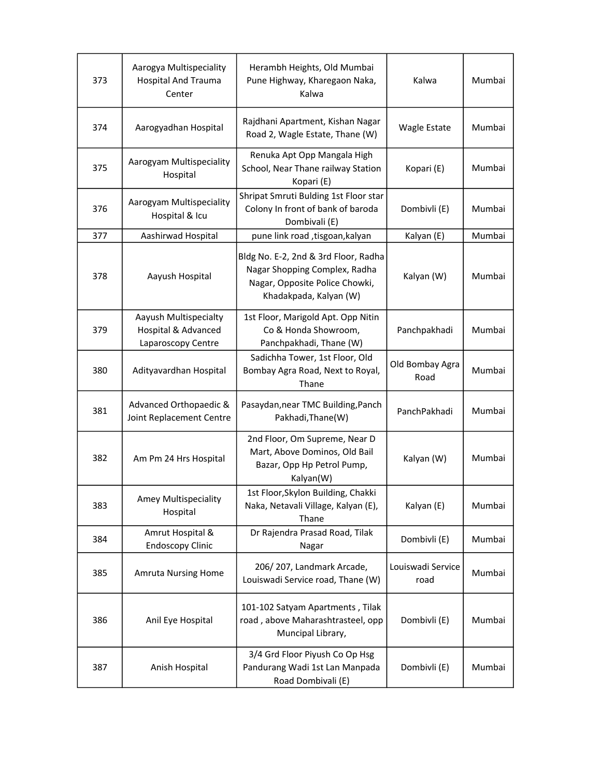| 373 | Aarogya Multispeciality<br><b>Hospital And Trauma</b><br>Center    | Herambh Heights, Old Mumbai<br>Pune Highway, Kharegaon Naka,<br>Kalwa                                                             | Kalwa                     | Mumbai |
|-----|--------------------------------------------------------------------|-----------------------------------------------------------------------------------------------------------------------------------|---------------------------|--------|
| 374 | Aarogyadhan Hospital                                               | Rajdhani Apartment, Kishan Nagar<br>Road 2, Wagle Estate, Thane (W)                                                               | Wagle Estate              | Mumbai |
| 375 | Aarogyam Multispeciality<br>Hospital                               | Renuka Apt Opp Mangala High<br>School, Near Thane railway Station<br>Kopari (E)                                                   | Kopari (E)                | Mumbai |
| 376 | Aarogyam Multispeciality<br>Hospital & Icu                         | Shripat Smruti Bulding 1st Floor star<br>Colony In front of bank of baroda<br>Dombivali (E)                                       | Dombivli (E)              | Mumbai |
| 377 | Aashirwad Hospital                                                 | pune link road , tisgoan, kalyan                                                                                                  | Kalyan (E)                | Mumbai |
| 378 | Aayush Hospital                                                    | Bldg No. E-2, 2nd & 3rd Floor, Radha<br>Nagar Shopping Complex, Radha<br>Nagar, Opposite Police Chowki,<br>Khadakpada, Kalyan (W) | Kalyan (W)                | Mumbai |
| 379 | Aayush Multispecialty<br>Hospital & Advanced<br>Laparoscopy Centre | 1st Floor, Marigold Apt. Opp Nitin<br>Co & Honda Showroom,<br>Panchpakhadi, Thane (W)                                             | Panchpakhadi              | Mumbai |
| 380 | Adityavardhan Hospital                                             | Sadichha Tower, 1st Floor, Old<br>Bombay Agra Road, Next to Royal,<br>Thane                                                       | Old Bombay Agra<br>Road   | Mumbai |
| 381 | Advanced Orthopaedic &<br>Joint Replacement Centre                 | Pasaydan, near TMC Building, Panch<br>Pakhadi, Thane(W)                                                                           | PanchPakhadi              | Mumbai |
| 382 | Am Pm 24 Hrs Hospital                                              | 2nd Floor, Om Supreme, Near D<br>Mart, Above Dominos, Old Bail<br>Bazar, Opp Hp Petrol Pump,<br>Kalyan(W)                         | Kalyan (W)                | Mumbai |
| 383 | <b>Amey Multispeciality</b><br>Hospital                            | 1st Floor, Skylon Building, Chakki<br>Naka, Netavali Village, Kalyan (E),<br>Thane                                                | Kalyan (E)                | Mumbai |
| 384 | Amrut Hospital &<br><b>Endoscopy Clinic</b>                        | Dr Rajendra Prasad Road, Tilak<br>Nagar                                                                                           | Dombivli (E)              | Mumbai |
| 385 | <b>Amruta Nursing Home</b>                                         | 206/207, Landmark Arcade,<br>Louiswadi Service road, Thane (W)                                                                    | Louiswadi Service<br>road | Mumbai |
| 386 | Anil Eye Hospital                                                  | 101-102 Satyam Apartments, Tilak<br>road, above Maharashtrasteel, opp<br>Muncipal Library,                                        | Dombivli (E)              | Mumbai |
| 387 | Anish Hospital                                                     | 3/4 Grd Floor Piyush Co Op Hsg<br>Pandurang Wadi 1st Lan Manpada<br>Road Dombivali (E)                                            | Dombivli (E)              | Mumbai |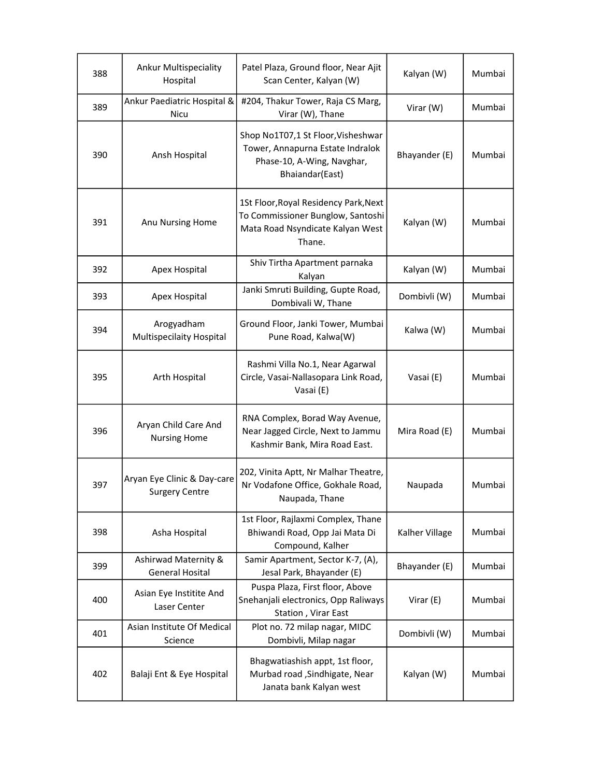| 388 | <b>Ankur Multispeciality</b><br>Hospital             | Patel Plaza, Ground floor, Near Ajit<br>Scan Center, Kalyan (W)                                                          | Kalyan (W)     | Mumbai |
|-----|------------------------------------------------------|--------------------------------------------------------------------------------------------------------------------------|----------------|--------|
| 389 | Ankur Paediatric Hospital &<br>Nicu                  | #204, Thakur Tower, Raja CS Marg,<br>Virar (W), Thane                                                                    | Virar (W)      | Mumbai |
| 390 | Ansh Hospital                                        | Shop No1T07,1 St Floor, Visheshwar<br>Tower, Annapurna Estate Indralok<br>Phase-10, A-Wing, Navghar,<br>Bhaiandar(East)  | Bhayander (E)  | Mumbai |
| 391 | Anu Nursing Home                                     | 1St Floor, Royal Residency Park, Next<br>To Commissioner Bunglow, Santoshi<br>Mata Road Nsyndicate Kalyan West<br>Thane. | Kalyan (W)     | Mumbai |
| 392 | Apex Hospital                                        | Shiv Tirtha Apartment parnaka<br>Kalyan                                                                                  | Kalyan (W)     | Mumbai |
| 393 | Apex Hospital                                        | Janki Smruti Building, Gupte Road,<br>Dombivali W, Thane                                                                 | Dombivli (W)   | Mumbai |
| 394 | Arogyadham<br>Multispecilaity Hospital               | Ground Floor, Janki Tower, Mumbai<br>Pune Road, Kalwa(W)                                                                 | Kalwa (W)      | Mumbai |
| 395 | Arth Hospital                                        | Rashmi Villa No.1, Near Agarwal<br>Circle, Vasai-Nallasopara Link Road,<br>Vasai (E)                                     | Vasai (E)      | Mumbai |
| 396 | Aryan Child Care And<br><b>Nursing Home</b>          | RNA Complex, Borad Way Avenue,<br>Near Jagged Circle, Next to Jammu<br>Kashmir Bank, Mira Road East.                     | Mira Road (E)  | Mumbai |
| 397 | Aryan Eye Clinic & Day-care<br><b>Surgery Centre</b> | 202, Vinita Aptt, Nr Malhar Theatre,<br>Nr Vodafone Office, Gokhale Road,<br>Naupada, Thane                              | Naupada        | Mumbai |
| 398 | Asha Hospital                                        | 1st Floor, Rajlaxmi Complex, Thane<br>Bhiwandi Road, Opp Jai Mata Di<br>Compound, Kalher                                 | Kalher Village | Mumbai |
| 399 | Ashirwad Maternity &<br><b>General Hosital</b>       | Samir Apartment, Sector K-7, (A),<br>Jesal Park, Bhayander (E)                                                           | Bhayander (E)  | Mumbai |
| 400 | Asian Eye Institite And<br>Laser Center              | Puspa Plaza, First floor, Above<br>Snehanjali electronics, Opp Raliways<br>Station, Virar East                           | Virar $(E)$    | Mumbai |
| 401 | Asian Institute Of Medical<br>Science                | Plot no. 72 milap nagar, MIDC<br>Dombivli, Milap nagar                                                                   | Dombivli (W)   | Mumbai |
| 402 | Balaji Ent & Eye Hospital                            | Bhagwatiashish appt, 1st floor,<br>Murbad road , Sindhigate, Near<br>Janata bank Kalyan west                             | Kalyan (W)     | Mumbai |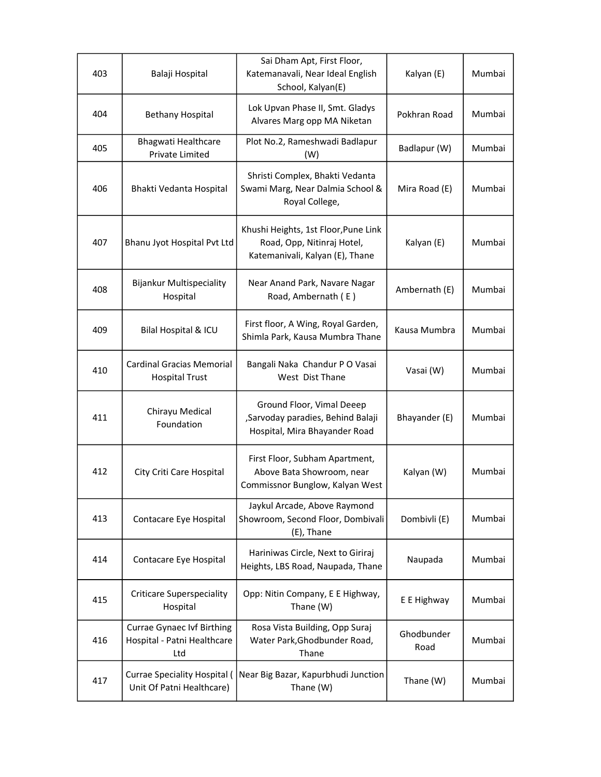| 403 | Balaji Hospital                                                         | Sai Dham Apt, First Floor,<br>Katemanavali, Near Ideal English<br>School, Kalyan(E)                   | Kalyan (E)         | Mumbai |
|-----|-------------------------------------------------------------------------|-------------------------------------------------------------------------------------------------------|--------------------|--------|
| 404 | <b>Bethany Hospital</b>                                                 | Lok Upvan Phase II, Smt. Gladys<br>Alvares Marg opp MA Niketan                                        | Pokhran Road       | Mumbai |
| 405 | Bhagwati Healthcare<br><b>Private Limited</b>                           | Plot No.2, Rameshwadi Badlapur<br>(W)                                                                 | Badlapur (W)       | Mumbai |
| 406 | Bhakti Vedanta Hospital                                                 | Shristi Complex, Bhakti Vedanta<br>Swami Marg, Near Dalmia School &<br>Royal College,                 | Mira Road (E)      | Mumbai |
| 407 | Bhanu Jyot Hospital Pvt Ltd                                             | Khushi Heights, 1st Floor, Pune Link<br>Road, Opp, Nitinraj Hotel,<br>Katemanivali, Kalyan (E), Thane | Kalyan (E)         | Mumbai |
| 408 | Bijankur Multispeciality<br>Hospital                                    | Near Anand Park, Navare Nagar<br>Road, Ambernath (E)                                                  | Ambernath (E)      | Mumbai |
| 409 | Bilal Hospital & ICU                                                    | First floor, A Wing, Royal Garden,<br>Shimla Park, Kausa Mumbra Thane                                 | Kausa Mumbra       | Mumbai |
| 410 | Cardinal Gracias Memorial<br><b>Hospital Trust</b>                      | Bangali Naka Chandur P O Vasai<br>West Dist Thane                                                     | Vasai (W)          | Mumbai |
| 411 | Chirayu Medical<br>Foundation                                           | Ground Floor, Vimal Deeep<br>,Sarvoday paradies, Behind Balaji<br>Hospital, Mira Bhayander Road       | Bhayander (E)      | Mumbai |
| 412 | City Criti Care Hospital                                                | First Floor, Subham Apartment,<br>Above Bata Showroom, near<br>Commissnor Bunglow, Kalyan West        | Kalyan (W)         | Mumbai |
| 413 | Contacare Eye Hospital                                                  | Jaykul Arcade, Above Raymond<br>Showroom, Second Floor, Dombivali<br>(E), Thane                       | Dombivli (E)       | Mumbai |
| 414 | Contacare Eye Hospital                                                  | Hariniwas Circle, Next to Giriraj<br>Heights, LBS Road, Naupada, Thane                                | Naupada            | Mumbai |
| 415 | <b>Criticare Superspeciality</b><br>Hospital                            | Opp: Nitin Company, E E Highway,<br>Thane (W)                                                         | E E Highway        | Mumbai |
| 416 | <b>Currae Gynaec Ivf Birthing</b><br>Hospital - Patni Healthcare<br>Ltd | Rosa Vista Building, Opp Suraj<br>Water Park, Ghodbunder Road,<br>Thane                               | Ghodbunder<br>Road | Mumbai |
| 417 | <b>Currae Speciality Hospital (</b><br>Unit Of Patni Healthcare)        | Near Big Bazar, Kapurbhudi Junction<br>Thane (W)                                                      | Thane (W)          | Mumbai |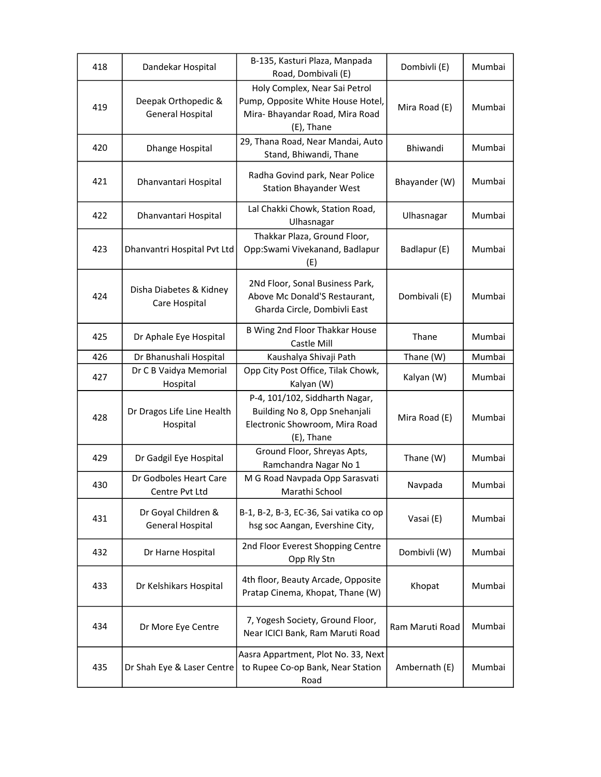| 418 | Dandekar Hospital                              | B-135, Kasturi Plaza, Manpada<br>Road, Dombivali (E)                                                                | Dombivli (E)    | Mumbai |
|-----|------------------------------------------------|---------------------------------------------------------------------------------------------------------------------|-----------------|--------|
| 419 | Deepak Orthopedic &<br><b>General Hospital</b> | Holy Complex, Near Sai Petrol<br>Pump, Opposite White House Hotel,<br>Mira- Bhayandar Road, Mira Road<br>(E), Thane | Mira Road (E)   | Mumbai |
| 420 | Dhange Hospital                                | 29, Thana Road, Near Mandai, Auto<br>Stand, Bhiwandi, Thane                                                         | Bhiwandi        | Mumbai |
| 421 | Dhanvantari Hospital                           | Radha Govind park, Near Police<br><b>Station Bhayander West</b>                                                     | Bhayander (W)   | Mumbai |
| 422 | Dhanvantari Hospital                           | Lal Chakki Chowk, Station Road,<br>Ulhasnagar                                                                       | Ulhasnagar      | Mumbai |
| 423 | Dhanvantri Hospital Pvt Ltd                    | Thakkar Plaza, Ground Floor,<br>Opp:Swami Vivekanand, Badlapur<br>(E)                                               | Badlapur (E)    | Mumbai |
| 424 | Disha Diabetes & Kidney<br>Care Hospital       | 2Nd Floor, Sonal Business Park,<br>Above Mc Donald'S Restaurant,<br>Gharda Circle, Dombivli East                    | Dombivali (E)   | Mumbai |
| 425 | Dr Aphale Eye Hospital                         | B Wing 2nd Floor Thakkar House<br>Castle Mill                                                                       | Thane           | Mumbai |
| 426 | Dr Bhanushali Hospital                         | Kaushalya Shivaji Path                                                                                              | Thane (W)       | Mumbai |
| 427 | Dr C B Vaidya Memorial<br>Hospital             | Opp City Post Office, Tilak Chowk,<br>Kalyan (W)                                                                    | Kalyan (W)      | Mumbai |
| 428 | Dr Dragos Life Line Health<br>Hospital         | P-4, 101/102, Siddharth Nagar,<br>Building No 8, Opp Snehanjali<br>Electronic Showroom, Mira Road<br>(E), Thane     | Mira Road (E)   | Mumbai |
| 429 | Dr Gadgil Eye Hospital                         | Ground Floor, Shreyas Apts,<br>Ramchandra Nagar No 1                                                                | Thane (W)       | Mumbai |
| 430 | Dr Godboles Heart Care<br>Centre Pvt Ltd       | M G Road Navpada Opp Sarasvati<br>Marathi School                                                                    | Navpada         | Mumbai |
| 431 | Dr Goyal Children &<br><b>General Hospital</b> | B-1, B-2, B-3, EC-36, Sai vatika co op<br>hsg soc Aangan, Evershine City,                                           | Vasai (E)       | Mumbai |
| 432 | Dr Harne Hospital                              | 2nd Floor Everest Shopping Centre<br>Opp Rly Stn                                                                    | Dombivli (W)    | Mumbai |
| 433 | Dr Kelshikars Hospital                         | 4th floor, Beauty Arcade, Opposite<br>Pratap Cinema, Khopat, Thane (W)                                              | Khopat          | Mumbai |
| 434 | Dr More Eye Centre                             | 7, Yogesh Society, Ground Floor,<br>Near ICICI Bank, Ram Maruti Road                                                | Ram Maruti Road | Mumbai |
| 435 | Dr Shah Eye & Laser Centre                     | Aasra Appartment, Plot No. 33, Next<br>to Rupee Co-op Bank, Near Station<br>Road                                    | Ambernath (E)   | Mumbai |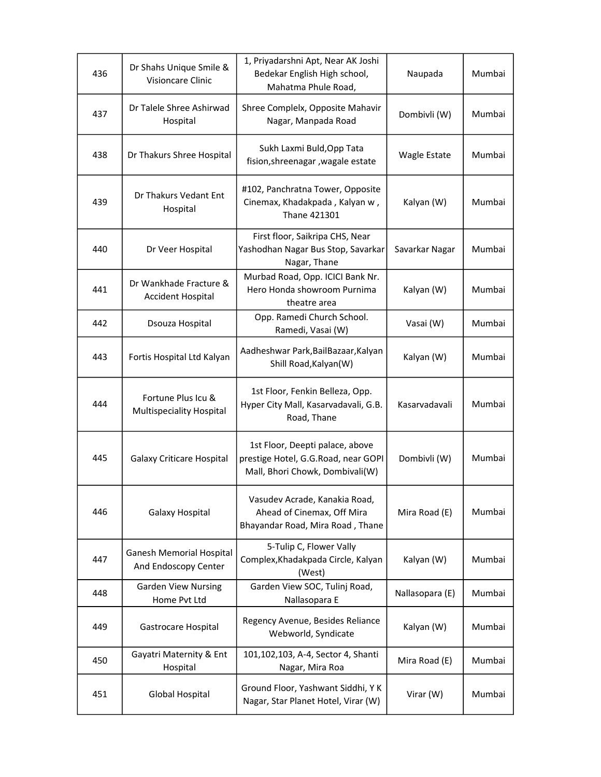| 436 | Dr Shahs Unique Smile &<br><b>Visioncare Clinic</b>     | 1, Priyadarshni Apt, Near AK Joshi<br>Bedekar English High school,<br>Mahatma Phule Road,                 | Naupada             | Mumbai |
|-----|---------------------------------------------------------|-----------------------------------------------------------------------------------------------------------|---------------------|--------|
| 437 | Dr Talele Shree Ashirwad<br>Hospital                    | Shree Complelx, Opposite Mahavir<br>Nagar, Manpada Road                                                   | Dombivli (W)        | Mumbai |
| 438 | Dr Thakurs Shree Hospital                               | Sukh Laxmi Buld, Opp Tata<br>fision, shreenagar, wagale estate                                            | <b>Wagle Estate</b> | Mumbai |
| 439 | Dr Thakurs Vedant Ent<br>Hospital                       | #102, Panchratna Tower, Opposite<br>Cinemax, Khadakpada, Kalyan w,<br>Thane 421301                        | Kalyan (W)          | Mumbai |
| 440 | Dr Veer Hospital                                        | First floor, Saikripa CHS, Near<br>Yashodhan Nagar Bus Stop, Savarkar<br>Nagar, Thane                     | Savarkar Nagar      | Mumbai |
| 441 | Dr Wankhade Fracture &<br><b>Accident Hospital</b>      | Murbad Road, Opp. ICICI Bank Nr.<br>Hero Honda showroom Purnima<br>theatre area                           | Kalyan (W)          | Mumbai |
| 442 | Dsouza Hospital                                         | Opp. Ramedi Church School.<br>Ramedi, Vasai (W)                                                           | Vasai (W)           | Mumbai |
| 443 | Fortis Hospital Ltd Kalyan                              | Aadheshwar Park, BailBazaar, Kalyan<br>Shill Road, Kalyan(W)                                              | Kalyan (W)          | Mumbai |
| 444 | Fortune Plus Icu &<br>Multispeciality Hospital          | 1st Floor, Fenkin Belleza, Opp.<br>Hyper City Mall, Kasarvadavali, G.B.<br>Road, Thane                    | Kasarvadavali       | Mumbai |
| 445 | <b>Galaxy Criticare Hospital</b>                        | 1st Floor, Deepti palace, above<br>prestige Hotel, G.G.Road, near GOPI<br>Mall, Bhori Chowk, Dombivali(W) | Dombivli (W)        | Mumbai |
| 446 | Galaxy Hospital                                         | Vasudev Acrade, Kanakia Road,<br>Ahead of Cinemax, Off Mira<br>Bhayandar Road, Mira Road, Thane           | Mira Road (E)       | Mumbai |
| 447 | <b>Ganesh Memorial Hospital</b><br>And Endoscopy Center | 5-Tulip C, Flower Vally<br>Complex, Khadakpada Circle, Kalyan<br>(West)                                   | Kalyan (W)          | Mumbai |
| 448 | <b>Garden View Nursing</b><br>Home Pvt Ltd              | Garden View SOC, Tulinj Road,<br>Nallasopara E                                                            | Nallasopara (E)     | Mumbai |
| 449 | Gastrocare Hospital                                     | Regency Avenue, Besides Reliance<br>Webworld, Syndicate                                                   | Kalyan (W)          | Mumbai |
| 450 | Gayatri Maternity & Ent<br>Hospital                     | 101,102,103, A-4, Sector 4, Shanti<br>Nagar, Mira Roa                                                     | Mira Road (E)       | Mumbai |
| 451 | <b>Global Hospital</b>                                  | Ground Floor, Yashwant Siddhi, Y K<br>Nagar, Star Planet Hotel, Virar (W)                                 | Virar (W)           | Mumbai |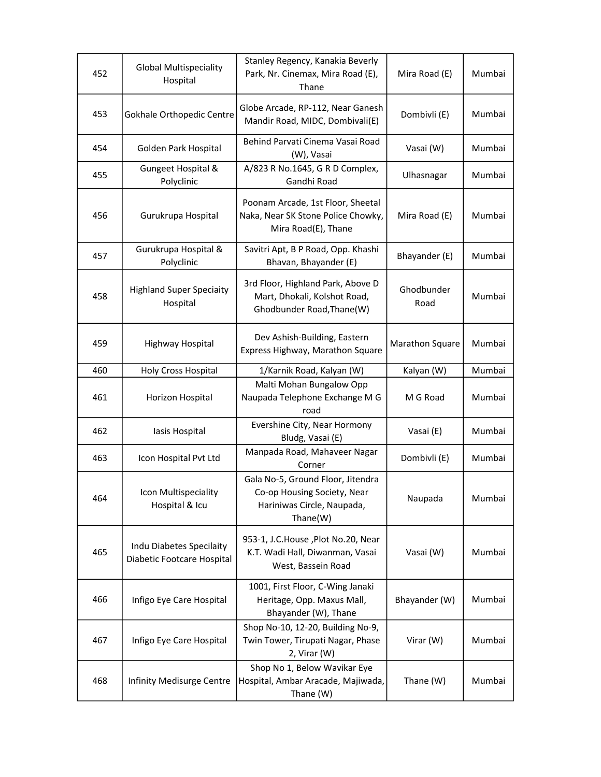| 452 | <b>Global Multispeciality</b><br>Hospital              | Stanley Regency, Kanakia Beverly<br>Park, Nr. Cinemax, Mira Road (E),<br>Thane                             | Mira Road (E)      | Mumbai |
|-----|--------------------------------------------------------|------------------------------------------------------------------------------------------------------------|--------------------|--------|
| 453 | Gokhale Orthopedic Centre                              | Globe Arcade, RP-112, Near Ganesh<br>Mandir Road, MIDC, Dombivali(E)                                       | Dombivli (E)       | Mumbai |
| 454 | Golden Park Hospital                                   | Behind Parvati Cinema Vasai Road<br>(W), Vasai                                                             | Vasai (W)          | Mumbai |
| 455 | Gungeet Hospital &<br>Polyclinic                       | A/823 R No.1645, G R D Complex,<br>Gandhi Road                                                             | Ulhasnagar         | Mumbai |
| 456 | Gurukrupa Hospital                                     | Poonam Arcade, 1st Floor, Sheetal<br>Naka, Near SK Stone Police Chowky,<br>Mira Road(E), Thane             | Mira Road (E)      | Mumbai |
| 457 | Gurukrupa Hospital &<br>Polyclinic                     | Savitri Apt, B P Road, Opp. Khashi<br>Bhavan, Bhayander (E)                                                | Bhayander (E)      | Mumbai |
| 458 | <b>Highland Super Speciaity</b><br>Hospital            | 3rd Floor, Highland Park, Above D<br>Mart, Dhokali, Kolshot Road,<br>Ghodbunder Road, Thane(W)             | Ghodbunder<br>Road | Mumbai |
| 459 | Highway Hospital                                       | Dev Ashish-Building, Eastern<br>Express Highway, Marathon Square                                           | Marathon Square    | Mumbai |
| 460 | Holy Cross Hospital                                    | 1/Karnik Road, Kalyan (W)                                                                                  | Kalyan (W)         | Mumbai |
| 461 | Horizon Hospital                                       | Malti Mohan Bungalow Opp<br>Naupada Telephone Exchange M G<br>road                                         | M G Road           | Mumbai |
| 462 | lasis Hospital                                         | Evershine City, Near Hormony<br>Bludg, Vasai (E)                                                           | Vasai (E)          | Mumbai |
| 463 | Icon Hospital Pvt Ltd                                  | Manpada Road, Mahaveer Nagar<br>Corner                                                                     | Dombivli (E)       | Mumbai |
| 464 | Icon Multispeciality<br>Hospital & Icu                 | Gala No-5, Ground Floor, Jitendra<br>Co-op Housing Society, Near<br>Hariniwas Circle, Naupada,<br>Thane(W) | Naupada            | Mumbai |
| 465 | Indu Diabetes Specilaity<br>Diabetic Footcare Hospital | 953-1, J.C.House, Plot No.20, Near<br>K.T. Wadi Hall, Diwanman, Vasai<br>West, Bassein Road                | Vasai (W)          | Mumbai |
| 466 | Infigo Eye Care Hospital                               | 1001, First Floor, C-Wing Janaki<br>Heritage, Opp. Maxus Mall,<br>Bhayander (W), Thane                     | Bhayander (W)      | Mumbai |
| 467 | Infigo Eye Care Hospital                               | Shop No-10, 12-20, Building No-9,<br>Twin Tower, Tirupati Nagar, Phase<br>2, Virar (W)                     | Virar (W)          | Mumbai |
| 468 | Infinity Medisurge Centre                              | Shop No 1, Below Wavikar Eye<br>Hospital, Ambar Aracade, Majiwada,<br>Thane (W)                            | Thane (W)          | Mumbai |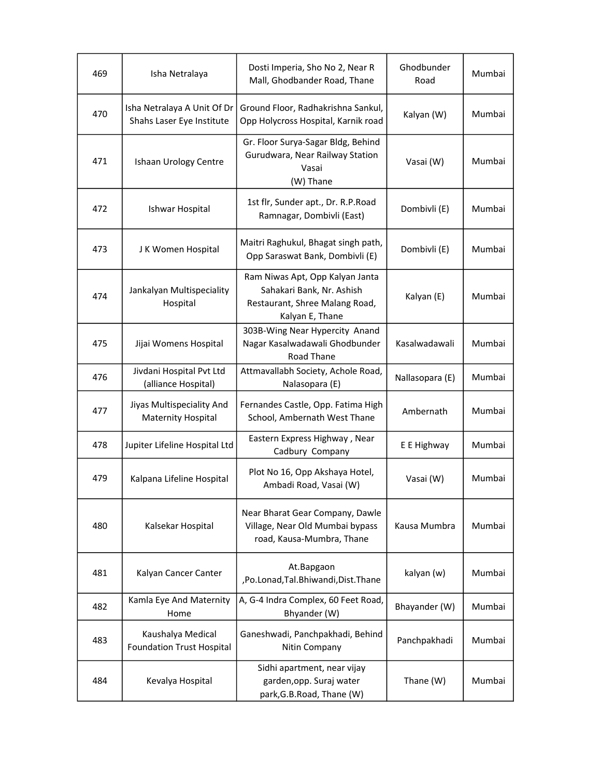| 469 | Isha Netralaya                                           | Dosti Imperia, Sho No 2, Near R<br>Mall, Ghodbander Road, Thane                                                   | Ghodbunder<br>Road | Mumbai |
|-----|----------------------------------------------------------|-------------------------------------------------------------------------------------------------------------------|--------------------|--------|
| 470 | Isha Netralaya A Unit Of Dr<br>Shahs Laser Eye Institute | Ground Floor, Radhakrishna Sankul,<br>Opp Holycross Hospital, Karnik road                                         | Kalyan (W)         | Mumbai |
| 471 | Ishaan Urology Centre                                    | Gr. Floor Surya-Sagar Bldg, Behind<br>Gurudwara, Near Railway Station<br>Vasai<br>(W) Thane                       | Vasai (W)          | Mumbai |
| 472 | Ishwar Hospital                                          | 1st flr, Sunder apt., Dr. R.P.Road<br>Ramnagar, Dombivli (East)                                                   | Dombivli (E)       | Mumbai |
| 473 | J K Women Hospital                                       | Maitri Raghukul, Bhagat singh path,<br>Opp Saraswat Bank, Dombivli (E)                                            | Dombivli (E)       | Mumbai |
| 474 | Jankalyan Multispeciality<br>Hospital                    | Ram Niwas Apt, Opp Kalyan Janta<br>Sahakari Bank, Nr. Ashish<br>Restaurant, Shree Malang Road,<br>Kalyan E, Thane | Kalyan (E)         | Mumbai |
| 475 | Jijai Womens Hospital                                    | 303B-Wing Near Hypercity Anand<br>Nagar Kasalwadawali Ghodbunder<br>Road Thane                                    | Kasalwadawali      | Mumbai |
| 476 | Jivdani Hospital Pvt Ltd<br>(alliance Hospital)          | Attmavallabh Society, Achole Road,<br>Nalasopara (E)                                                              | Nallasopara (E)    | Mumbai |
| 477 | Jiyas Multispeciality And<br><b>Maternity Hospital</b>   | Fernandes Castle, Opp. Fatima High<br>School, Ambernath West Thane                                                | Ambernath          | Mumbai |
| 478 | Jupiter Lifeline Hospital Ltd                            | Eastern Express Highway, Near<br>Cadbury Company                                                                  | E E Highway        | Mumbai |
| 479 | Kalpana Lifeline Hospital                                | Plot No 16, Opp Akshaya Hotel,<br>Ambadi Road, Vasai (W)                                                          | Vasai (W)          | Mumbai |
| 480 | Kalsekar Hospital                                        | Near Bharat Gear Company, Dawle<br>Village, Near Old Mumbai bypass<br>road, Kausa-Mumbra, Thane                   | Kausa Mumbra       | Mumbai |
| 481 | Kalyan Cancer Canter                                     | At.Bapgaon<br>,Po.Lonad,Tal.Bhiwandi,Dist.Thane                                                                   | kalyan (w)         | Mumbai |
| 482 | Kamla Eye And Maternity<br>Home                          | A, G-4 Indra Complex, 60 Feet Road,<br>Bhyander (W)                                                               | Bhayander (W)      | Mumbai |
| 483 | Kaushalya Medical<br><b>Foundation Trust Hospital</b>    | Ganeshwadi, Panchpakhadi, Behind<br>Nitin Company                                                                 | Panchpakhadi       | Mumbai |
| 484 | Kevalya Hospital                                         | Sidhi apartment, near vijay<br>garden, opp. Suraj water<br>park, G.B. Road, Thane (W)                             | Thane (W)          | Mumbai |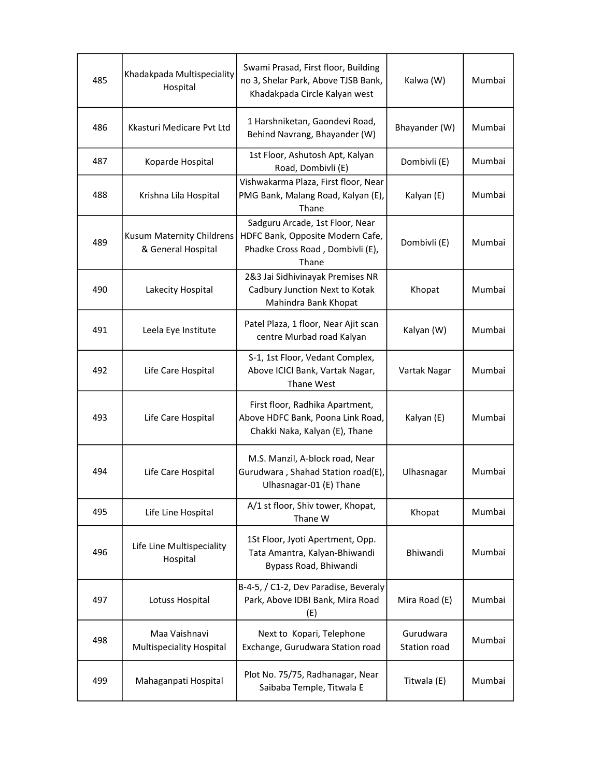| 485 | Khadakpada Multispeciality<br>Hospital          | Swami Prasad, First floor, Building<br>no 3, Shelar Park, Above TJSB Bank,<br>Khadakpada Circle Kalyan west      | Kalwa (W)                 | Mumbai |
|-----|-------------------------------------------------|------------------------------------------------------------------------------------------------------------------|---------------------------|--------|
| 486 | Kkasturi Medicare Pyt Ltd                       | 1 Harshniketan, Gaondevi Road,<br>Behind Navrang, Bhayander (W)                                                  | Bhayander (W)             | Mumbai |
| 487 | Koparde Hospital                                | 1st Floor, Ashutosh Apt, Kalyan<br>Road, Dombivli (E)                                                            | Dombivli (E)              | Mumbai |
| 488 | Krishna Lila Hospital                           | Vishwakarma Plaza, First floor, Near<br>PMG Bank, Malang Road, Kalyan (E),<br>Thane                              | Kalyan (E)                | Mumbai |
| 489 | Kusum Maternity Childrens<br>& General Hospital | Sadguru Arcade, 1st Floor, Near<br>HDFC Bank, Opposite Modern Cafe,<br>Phadke Cross Road, Dombivli (E),<br>Thane | Dombivli (E)              | Mumbai |
| 490 | Lakecity Hospital                               | 2&3 Jai Sidhivinayak Premises NR<br>Cadbury Junction Next to Kotak<br>Mahindra Bank Khopat                       | Khopat                    | Mumbai |
| 491 | Leela Eye Institute                             | Patel Plaza, 1 floor, Near Ajit scan<br>centre Murbad road Kalyan                                                | Kalyan (W)                | Mumbai |
| 492 | Life Care Hospital                              | S-1, 1st Floor, Vedant Complex,<br>Above ICICI Bank, Vartak Nagar,<br>Thane West                                 | Vartak Nagar              | Mumbai |
| 493 | Life Care Hospital                              | First floor, Radhika Apartment,<br>Above HDFC Bank, Poona Link Road,<br>Chakki Naka, Kalyan (E), Thane           | Kalyan (E)                | Mumbai |
| 494 | Life Care Hospital                              | M.S. Manzil, A-block road, Near<br>Gurudwara, Shahad Station road(E),<br>Ulhasnagar-01 (E) Thane                 | Ulhasnagar                | Mumbai |
| 495 | Life Line Hospital                              | A/1 st floor, Shiv tower, Khopat,<br>Thane W                                                                     | Khopat                    | Mumbai |
| 496 | Life Line Multispeciality<br>Hospital           | 1St Floor, Jyoti Apertment, Opp.<br>Tata Amantra, Kalyan-Bhiwandi<br>Bypass Road, Bhiwandi                       | Bhiwandi                  | Mumbai |
| 497 | Lotuss Hospital                                 | B-4-5, / C1-2, Dev Paradise, Beveraly<br>Park, Above IDBI Bank, Mira Road<br>(E)                                 | Mira Road (E)             | Mumbai |
| 498 | Maa Vaishnavi<br>Multispeciality Hospital       | Next to Kopari, Telephone<br>Exchange, Gurudwara Station road                                                    | Gurudwara<br>Station road | Mumbai |
| 499 | Mahaganpati Hospital                            | Plot No. 75/75, Radhanagar, Near<br>Saibaba Temple, Titwala E                                                    | Titwala (E)               | Mumbai |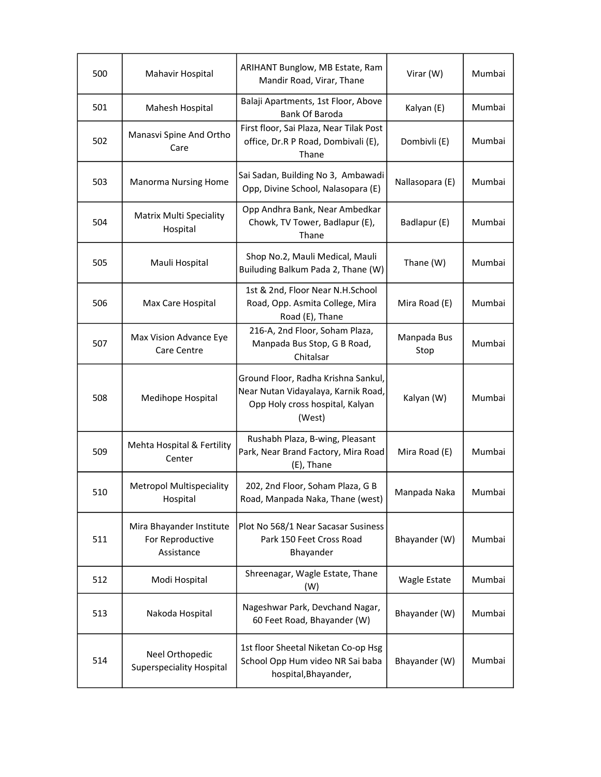| 500 | Mahavir Hospital                                           | ARIHANT Bunglow, MB Estate, Ram<br>Mandir Road, Virar, Thane                                                            | Virar (W)           | Mumbai |
|-----|------------------------------------------------------------|-------------------------------------------------------------------------------------------------------------------------|---------------------|--------|
| 501 | Mahesh Hospital                                            | Balaji Apartments, 1st Floor, Above<br><b>Bank Of Baroda</b>                                                            | Kalyan (E)          | Mumbai |
| 502 | Manasvi Spine And Ortho<br>Care                            | First floor, Sai Plaza, Near Tilak Post<br>office, Dr.R P Road, Dombivali (E),<br>Thane                                 | Dombivli (E)        | Mumbai |
| 503 | <b>Manorma Nursing Home</b>                                | Sai Sadan, Building No 3, Ambawadi<br>Opp, Divine School, Nalasopara (E)                                                | Nallasopara (E)     | Mumbai |
| 504 | <b>Matrix Multi Speciality</b><br>Hospital                 | Opp Andhra Bank, Near Ambedkar<br>Chowk, TV Tower, Badlapur (E),<br>Thane                                               | Badlapur (E)        | Mumbai |
| 505 | Mauli Hospital                                             | Shop No.2, Mauli Medical, Mauli<br>Builuding Balkum Pada 2, Thane (W)                                                   | Thane (W)           | Mumbai |
| 506 | Max Care Hospital                                          | 1st & 2nd, Floor Near N.H.School<br>Road, Opp. Asmita College, Mira<br>Road (E), Thane                                  | Mira Road (E)       | Mumbai |
| 507 | Max Vision Advance Eye<br>Care Centre                      | 216-A, 2nd Floor, Soham Plaza,<br>Manpada Bus Stop, G B Road,<br>Chitalsar                                              | Manpada Bus<br>Stop | Mumbai |
| 508 | Medihope Hospital                                          | Ground Floor, Radha Krishna Sankul,<br>Near Nutan Vidayalaya, Karnik Road,<br>Opp Holy cross hospital, Kalyan<br>(West) | Kalyan (W)          | Mumbai |
| 509 | Mehta Hospital & Fertility<br>Center                       | Rushabh Plaza, B-wing, Pleasant<br>Park, Near Brand Factory, Mira Road<br>(E), Thane                                    | Mira Road (E)       | Mumbai |
| 510 | <b>Metropol Multispeciality</b><br>Hospital                | 202, 2nd Floor, Soham Plaza, G B<br>Road, Manpada Naka, Thane (west)                                                    | Manpada Naka        | Mumbai |
| 511 | Mira Bhayander Institute<br>For Reproductive<br>Assistance | Plot No 568/1 Near Sacasar Susiness<br>Park 150 Feet Cross Road<br>Bhayander                                            | Bhayander (W)       | Mumbai |
| 512 | Modi Hospital                                              | Shreenagar, Wagle Estate, Thane<br>(W)                                                                                  | Wagle Estate        | Mumbai |
| 513 | Nakoda Hospital                                            | Nageshwar Park, Devchand Nagar,<br>60 Feet Road, Bhayander (W)                                                          | Bhayander (W)       | Mumbai |
| 514 | Neel Orthopedic<br><b>Superspeciality Hospital</b>         | 1st floor Sheetal Niketan Co-op Hsg<br>School Opp Hum video NR Sai baba<br>hospital, Bhayander,                         | Bhayander (W)       | Mumbai |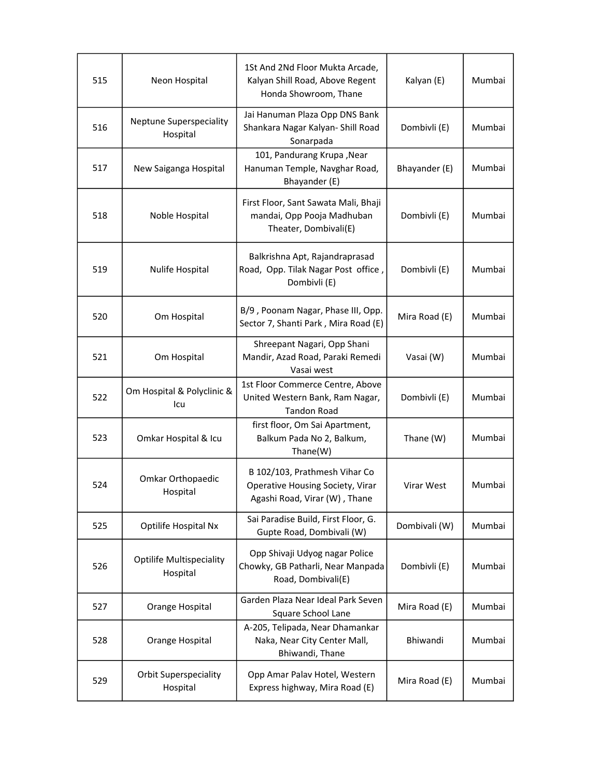| 515 | Neon Hospital                               | 1St And 2Nd Floor Mukta Arcade,<br>Kalyan Shill Road, Above Regent<br>Honda Showroom, Thane        | Kalyan (E)    | Mumbai |
|-----|---------------------------------------------|----------------------------------------------------------------------------------------------------|---------------|--------|
| 516 | <b>Neptune Superspeciality</b><br>Hospital  | Jai Hanuman Plaza Opp DNS Bank<br>Shankara Nagar Kalyan- Shill Road<br>Sonarpada                   | Dombivli (E)  | Mumbai |
| 517 | New Saiganga Hospital                       | 101, Pandurang Krupa, Near<br>Hanuman Temple, Navghar Road,<br>Bhayander (E)                       | Bhayander (E) | Mumbai |
| 518 | Noble Hospital                              | First Floor, Sant Sawata Mali, Bhaji<br>mandai, Opp Pooja Madhuban<br>Theater, Dombivali(E)        | Dombivli (E)  | Mumbai |
| 519 | Nulife Hospital                             | Balkrishna Apt, Rajandraprasad<br>Road, Opp. Tilak Nagar Post office,<br>Dombivli (E)              | Dombivli (E)  | Mumbai |
| 520 | Om Hospital                                 | B/9, Poonam Nagar, Phase III, Opp.<br>Sector 7, Shanti Park, Mira Road (E)                         | Mira Road (E) | Mumbai |
| 521 | Om Hospital                                 | Shreepant Nagari, Opp Shani<br>Mandir, Azad Road, Paraki Remedi<br>Vasai west                      | Vasai (W)     | Mumbai |
| 522 | Om Hospital & Polyclinic &<br>Icu           | 1st Floor Commerce Centre, Above<br>United Western Bank, Ram Nagar,<br><b>Tandon Road</b>          | Dombivli (E)  | Mumbai |
| 523 | Omkar Hospital & Icu                        | first floor, Om Sai Apartment,<br>Balkum Pada No 2, Balkum,<br>Thane(W)                            | Thane (W)     | Mumbai |
| 524 | Omkar Orthopaedic<br>Hospital               | B 102/103, Prathmesh Vihar Co<br>Operative Housing Society, Virar<br>Agashi Road, Virar (W), Thane | Virar West    | Mumbai |
| 525 | Optilife Hospital Nx                        | Sai Paradise Build, First Floor, G.<br>Gupte Road, Dombivali (W)                                   | Dombivali (W) | Mumbai |
| 526 | <b>Optilife Multispeciality</b><br>Hospital | Opp Shivaji Udyog nagar Police<br>Chowky, GB Patharli, Near Manpada<br>Road, Dombivali(E)          | Dombivli (E)  | Mumbai |
| 527 | Orange Hospital                             | Garden Plaza Near Ideal Park Seven<br>Square School Lane                                           | Mira Road (E) | Mumbai |
| 528 | Orange Hospital                             | A-205, Telipada, Near Dhamankar<br>Naka, Near City Center Mall,<br>Bhiwandi, Thane                 | Bhiwandi      | Mumbai |
| 529 | <b>Orbit Superspeciality</b><br>Hospital    | Opp Amar Palav Hotel, Western<br>Express highway, Mira Road (E)                                    | Mira Road (E) | Mumbai |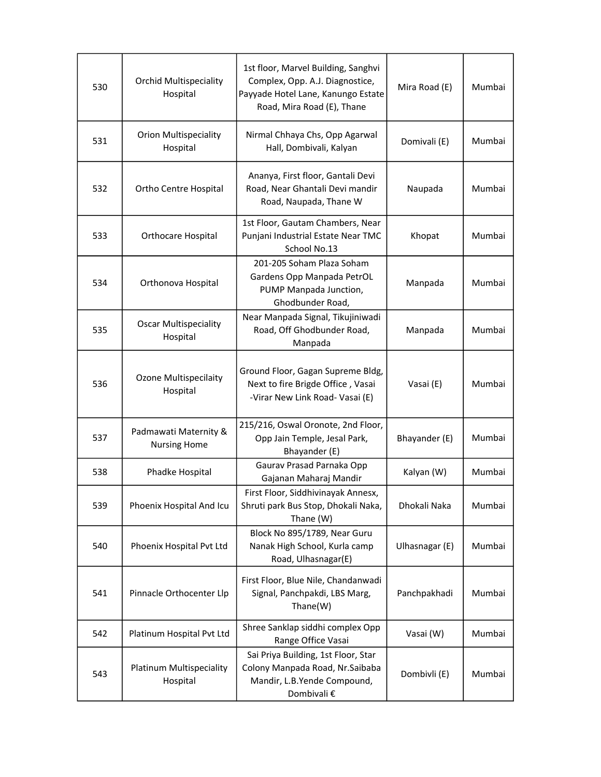| 530 | <b>Orchid Multispeciality</b><br>Hospital    | 1st floor, Marvel Building, Sanghvi<br>Complex, Opp. A.J. Diagnostice,<br>Payyade Hotel Lane, Kanungo Estate<br>Road, Mira Road (E), Thane | Mira Road (E)  | Mumbai |
|-----|----------------------------------------------|--------------------------------------------------------------------------------------------------------------------------------------------|----------------|--------|
| 531 | <b>Orion Multispeciality</b><br>Hospital     | Nirmal Chhaya Chs, Opp Agarwal<br>Hall, Dombivali, Kalyan                                                                                  | Domivali (E)   | Mumbai |
| 532 | Ortho Centre Hospital                        | Ananya, First floor, Gantali Devi<br>Road, Near Ghantali Devi mandir<br>Road, Naupada, Thane W                                             | Naupada        | Mumbai |
| 533 | Orthocare Hospital                           | 1st Floor, Gautam Chambers, Near<br>Punjani Industrial Estate Near TMC<br>School No.13                                                     | Khopat         | Mumbai |
| 534 | Orthonova Hospital                           | 201-205 Soham Plaza Soham<br>Gardens Opp Manpada PetrOL<br>PUMP Manpada Junction,<br>Ghodbunder Road,                                      | Manpada        | Mumbai |
| 535 | <b>Oscar Multispeciality</b><br>Hospital     | Near Manpada Signal, Tikujiniwadi<br>Road, Off Ghodbunder Road,<br>Manpada                                                                 | Manpada        | Mumbai |
| 536 | <b>Ozone Multispecilaity</b><br>Hospital     | Ground Floor, Gagan Supreme Bldg,<br>Next to fire Brigde Office, Vasai<br>-Virar New Link Road- Vasai (E)                                  | Vasai (E)      | Mumbai |
| 537 | Padmawati Maternity &<br><b>Nursing Home</b> | 215/216, Oswal Oronote, 2nd Floor,<br>Opp Jain Temple, Jesal Park,<br>Bhayander (E)                                                        | Bhayander (E)  | Mumbai |
| 538 | Phadke Hospital                              | Gaurav Prasad Parnaka Opp<br>Gajanan Maharaj Mandir                                                                                        | Kalyan (W)     | Mumbai |
| 539 | Phoenix Hospital And Icu                     | First Floor, Siddhivinayak Annesx,<br>Shruti park Bus Stop, Dhokali Naka,<br>Thane (W)                                                     | Dhokali Naka   | Mumbai |
| 540 | Phoenix Hospital Pvt Ltd                     | Block No 895/1789, Near Guru<br>Nanak High School, Kurla camp<br>Road, Ulhasnagar(E)                                                       | Ulhasnagar (E) | Mumbai |
| 541 | Pinnacle Orthocenter Llp                     | First Floor, Blue Nile, Chandanwadi<br>Signal, Panchpakdi, LBS Marg,<br>Thane(W)                                                           | Panchpakhadi   | Mumbai |
| 542 | Platinum Hospital Pvt Ltd                    | Shree Sanklap siddhi complex Opp<br>Range Office Vasai                                                                                     | Vasai (W)      | Mumbai |
| 543 | Platinum Multispeciality<br>Hospital         | Sai Priya Building, 1st Floor, Star<br>Colony Manpada Road, Nr.Saibaba<br>Mandir, L.B.Yende Compound,<br>Dombivali €                       | Dombivli (E)   | Mumbai |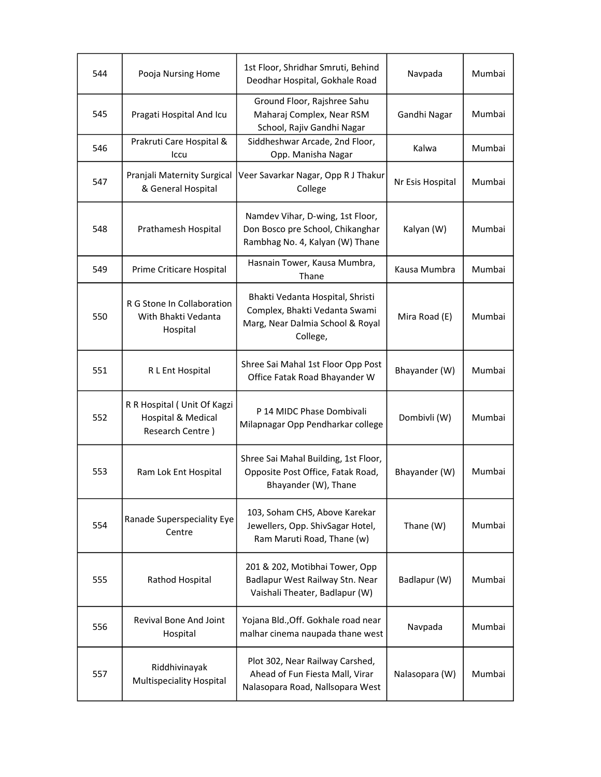| 544 | Pooja Nursing Home                                                    | 1st Floor, Shridhar Smruti, Behind<br>Deodhar Hospital, Gokhale Road                                              | Navpada          | Mumbai |
|-----|-----------------------------------------------------------------------|-------------------------------------------------------------------------------------------------------------------|------------------|--------|
| 545 | Pragati Hospital And Icu                                              | Ground Floor, Rajshree Sahu<br>Maharaj Complex, Near RSM<br>School, Rajiv Gandhi Nagar                            | Gandhi Nagar     | Mumbai |
| 546 | Prakruti Care Hospital &<br>Iccu                                      | Siddheshwar Arcade, 2nd Floor,<br>Opp. Manisha Nagar                                                              | Kalwa            | Mumbai |
| 547 | Pranjali Maternity Surgical<br>& General Hospital                     | Veer Savarkar Nagar, Opp R J Thakur<br>College                                                                    | Nr Esis Hospital | Mumbai |
| 548 | Prathamesh Hospital                                                   | Namdev Vihar, D-wing, 1st Floor,<br>Don Bosco pre School, Chikanghar<br>Rambhag No. 4, Kalyan (W) Thane           | Kalyan (W)       | Mumbai |
| 549 | Prime Criticare Hospital                                              | Hasnain Tower, Kausa Mumbra,<br>Thane                                                                             | Kausa Mumbra     | Mumbai |
| 550 | R G Stone In Collaboration<br>With Bhakti Vedanta<br>Hospital         | Bhakti Vedanta Hospital, Shristi<br>Complex, Bhakti Vedanta Swami<br>Marg, Near Dalmia School & Royal<br>College, | Mira Road (E)    | Mumbai |
| 551 | R L Ent Hospital                                                      | Shree Sai Mahal 1st Floor Opp Post<br>Office Fatak Road Bhayander W                                               | Bhayander (W)    | Mumbai |
| 552 | R R Hospital (Unit Of Kagzi<br>Hospital & Medical<br>Research Centre) | P 14 MIDC Phase Dombivali<br>Milapnagar Opp Pendharkar college                                                    | Dombivli (W)     | Mumbai |
| 553 | Ram Lok Ent Hospital                                                  | Shree Sai Mahal Building, 1st Floor,<br>Opposite Post Office, Fatak Road,<br>Bhayander (W), Thane                 | Bhayander (W)    | Mumbai |
| 554 | Ranade Superspeciality Eye<br>Centre                                  | 103, Soham CHS, Above Karekar<br>Jewellers, Opp. ShivSagar Hotel,<br>Ram Maruti Road, Thane (w)                   | Thane (W)        | Mumbai |
| 555 | Rathod Hospital                                                       | 201 & 202, Motibhai Tower, Opp<br>Badlapur West Railway Stn. Near<br>Vaishali Theater, Badlapur (W)               | Badlapur (W)     | Mumbai |
| 556 | Revival Bone And Joint<br>Hospital                                    | Yojana Bld., Off. Gokhale road near<br>malhar cinema naupada thane west                                           | Navpada          | Mumbai |
| 557 | Riddhivinayak<br><b>Multispeciality Hospital</b>                      | Plot 302, Near Railway Carshed,<br>Ahead of Fun Fiesta Mall, Virar<br>Nalasopara Road, Nallsopara West            | Nalasopara (W)   | Mumbai |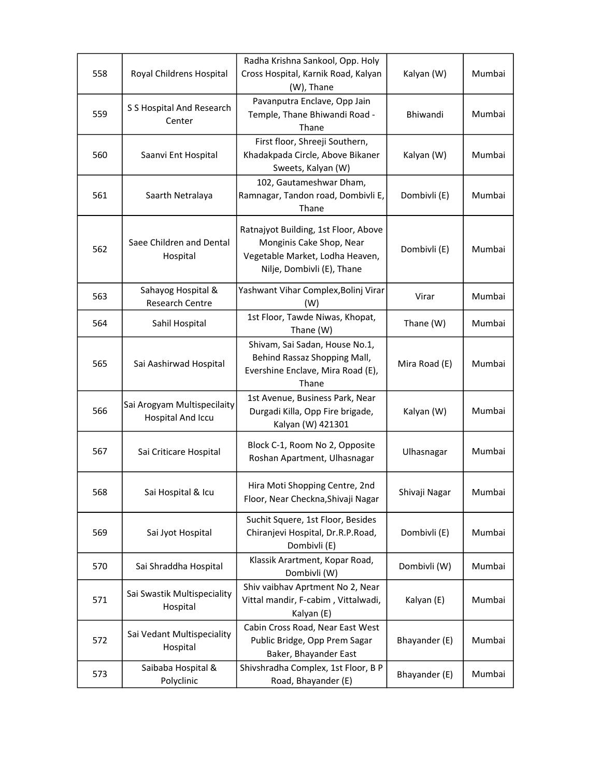| 558 | Royal Childrens Hospital                                | Radha Krishna Sankool, Opp. Holy<br>Cross Hospital, Karnik Road, Kalyan<br>(W), Thane                                             | Kalyan (W)      | Mumbai |
|-----|---------------------------------------------------------|-----------------------------------------------------------------------------------------------------------------------------------|-----------------|--------|
| 559 | S S Hospital And Research<br>Center                     | Pavanputra Enclave, Opp Jain<br>Temple, Thane Bhiwandi Road -<br>Thane                                                            | <b>Bhiwandi</b> | Mumbai |
| 560 | Saanvi Ent Hospital                                     | First floor, Shreeji Southern,<br>Khadakpada Circle, Above Bikaner<br>Sweets, Kalyan (W)                                          | Kalyan (W)      | Mumbai |
| 561 | Saarth Netralaya                                        | 102, Gautameshwar Dham,<br>Ramnagar, Tandon road, Dombivli E,<br>Thane                                                            | Dombivli (E)    | Mumbai |
| 562 | Saee Children and Dental<br>Hospital                    | Ratnajyot Building, 1st Floor, Above<br>Monginis Cake Shop, Near<br>Vegetable Market, Lodha Heaven,<br>Nilje, Dombivli (E), Thane | Dombivli (E)    | Mumbai |
| 563 | Sahayog Hospital &<br><b>Research Centre</b>            | Yashwant Vihar Complex, Bolinj Virar<br>(W)                                                                                       | Virar           | Mumbai |
| 564 | Sahil Hospital                                          | 1st Floor, Tawde Niwas, Khopat,<br>Thane (W)                                                                                      | Thane (W)       | Mumbai |
| 565 | Sai Aashirwad Hospital                                  | Shivam, Sai Sadan, House No.1,<br>Behind Rassaz Shopping Mall,<br>Evershine Enclave, Mira Road (E),<br>Thane                      | Mira Road (E)   | Mumbai |
| 566 | Sai Arogyam Multispecilaity<br><b>Hospital And Iccu</b> | 1st Avenue, Business Park, Near<br>Durgadi Killa, Opp Fire brigade,<br>Kalyan (W) 421301                                          | Kalyan (W)      | Mumbai |
| 567 | Sai Criticare Hospital                                  | Block C-1, Room No 2, Opposite<br>Roshan Apartment, Ulhasnagar                                                                    | Ulhasnagar      | Mumbai |
| 568 | Sai Hospital & Icu                                      | Hira Moti Shopping Centre, 2nd<br>Floor, Near Checkna, Shivaji Nagar                                                              | Shivaji Nagar   | Mumbai |
| 569 | Sai Jyot Hospital                                       | Suchit Squere, 1st Floor, Besides<br>Chiranjevi Hospital, Dr.R.P.Road,<br>Dombivli (E)                                            | Dombivli (E)    | Mumbai |
| 570 | Sai Shraddha Hospital                                   | Klassik Arartment, Kopar Road,<br>Dombivli (W)                                                                                    | Dombivli (W)    | Mumbai |
| 571 | Sai Swastik Multispeciality<br>Hospital                 | Shiv vaibhav Aprtment No 2, Near<br>Vittal mandir, F-cabim, Vittalwadi,<br>Kalyan (E)                                             | Kalyan (E)      | Mumbai |
| 572 | Sai Vedant Multispeciality<br>Hospital                  | Cabin Cross Road, Near East West<br>Public Bridge, Opp Prem Sagar<br>Baker, Bhayander East                                        | Bhayander (E)   | Mumbai |
| 573 | Saibaba Hospital &<br>Polyclinic                        | Shivshradha Complex, 1st Floor, B P<br>Road, Bhayander (E)                                                                        | Bhayander (E)   | Mumbai |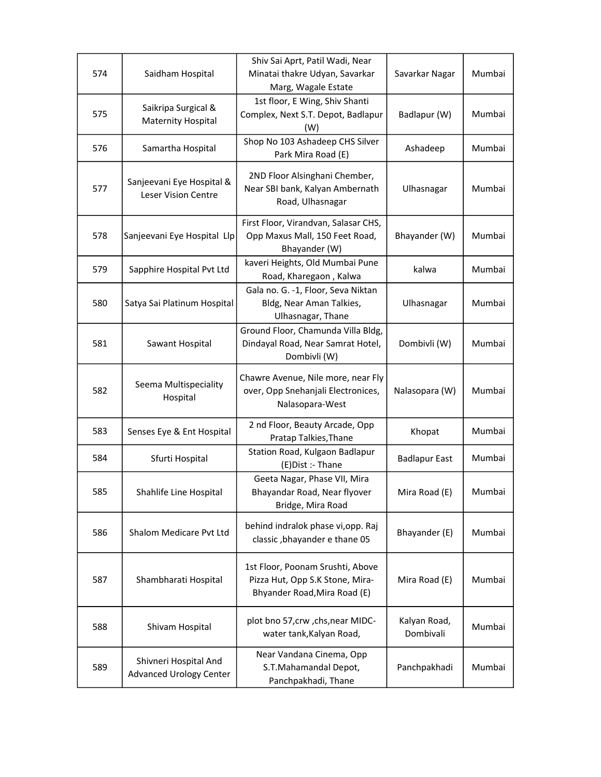| 574 | Saidham Hospital                                        | Shiv Sai Aprt, Patil Wadi, Near<br>Minatai thakre Udyan, Savarkar<br>Marg, Wagale Estate            | Savarkar Nagar            | Mumbai |
|-----|---------------------------------------------------------|-----------------------------------------------------------------------------------------------------|---------------------------|--------|
| 575 | Saikripa Surgical &<br>Maternity Hospital               | 1st floor, E Wing, Shiv Shanti<br>Complex, Next S.T. Depot, Badlapur<br>(W)                         | Badlapur (W)              | Mumbai |
| 576 | Samartha Hospital                                       | Shop No 103 Ashadeep CHS Silver<br>Park Mira Road (E)                                               | Ashadeep                  | Mumbai |
| 577 | Sanjeevani Eye Hospital &<br>Leser Vision Centre        | 2ND Floor Alsinghani Chember,<br>Near SBI bank, Kalyan Ambernath<br>Road, Ulhasnagar                | Ulhasnagar                | Mumbai |
| 578 | Sanjeevani Eye Hospital Llp                             | First Floor, Virandvan, Salasar CHS,<br>Opp Maxus Mall, 150 Feet Road,<br>Bhayander (W)             | Bhayander (W)             | Mumbai |
| 579 | Sapphire Hospital Pvt Ltd                               | kaveri Heights, Old Mumbai Pune<br>Road, Kharegaon, Kalwa                                           | kalwa                     | Mumbai |
| 580 | Satya Sai Platinum Hospital                             | Gala no. G. -1, Floor, Seva Niktan<br>Bldg, Near Aman Talkies,<br>Ulhasnagar, Thane                 | Ulhasnagar                | Mumbai |
| 581 | Sawant Hospital                                         | Ground Floor, Chamunda Villa Bldg,<br>Dindayal Road, Near Samrat Hotel,<br>Dombivli (W)             | Dombivli (W)              | Mumbai |
| 582 | Seema Multispeciality<br>Hospital                       | Chawre Avenue, Nile more, near Fly<br>over, Opp Snehanjali Electronices,<br>Nalasopara-West         | Nalasopara (W)            | Mumbai |
| 583 | Senses Eye & Ent Hospital                               | 2 nd Floor, Beauty Arcade, Opp<br>Pratap Talkies, Thane                                             | Khopat                    | Mumbai |
| 584 | Sfurti Hospital                                         | Station Road, Kulgaon Badlapur<br>(E) Dist :- Thane                                                 | <b>Badlapur East</b>      | Mumbai |
| 585 | Shahlife Line Hospital                                  | Geeta Nagar, Phase VII, Mira<br>Bhayandar Road, Near flyover<br>Bridge, Mira Road                   | Mira Road (E)             | Mumbai |
| 586 | Shalom Medicare Pvt Ltd                                 | behind indralok phase vi, opp. Raj<br>classic, bhayander e thane 05                                 | Bhayander (E)             | Mumbai |
| 587 | Shambharati Hospital                                    | 1st Floor, Poonam Srushti, Above<br>Pizza Hut, Opp S.K Stone, Mira-<br>Bhyander Road, Mira Road (E) | Mira Road (E)             | Mumbai |
| 588 | Shivam Hospital                                         | plot bno 57, crw, chs, near MIDC-<br>water tank, Kalyan Road,                                       | Kalyan Road,<br>Dombivali | Mumbai |
| 589 | Shivneri Hospital And<br><b>Advanced Urology Center</b> | Near Vandana Cinema, Opp<br>S.T.Mahamandal Depot,<br>Panchpakhadi, Thane                            | Panchpakhadi              | Mumbai |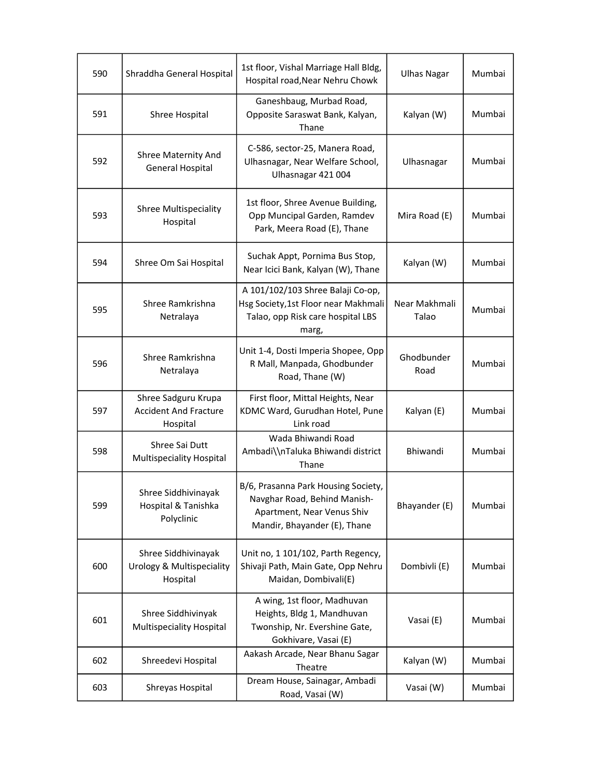| 590 | Shraddha General Hospital                                       | 1st floor, Vishal Marriage Hall Bldg,<br>Hospital road, Near Nehru Chowk                                                          | <b>Ulhas Nagar</b>     | Mumbai |
|-----|-----------------------------------------------------------------|-----------------------------------------------------------------------------------------------------------------------------------|------------------------|--------|
| 591 | Shree Hospital                                                  | Ganeshbaug, Murbad Road,<br>Opposite Saraswat Bank, Kalyan,<br>Thane                                                              | Kalyan (W)             | Mumbai |
| 592 | Shree Maternity And<br><b>General Hospital</b>                  | C-586, sector-25, Manera Road,<br>Ulhasnagar, Near Welfare School,<br>Ulhasnagar 421 004                                          | Ulhasnagar             | Mumbai |
| 593 | <b>Shree Multispeciality</b><br>Hospital                        | 1st floor, Shree Avenue Building,<br>Opp Muncipal Garden, Ramdev<br>Park, Meera Road (E), Thane                                   | Mira Road (E)          | Mumbai |
| 594 | Shree Om Sai Hospital                                           | Suchak Appt, Pornima Bus Stop,<br>Near Icici Bank, Kalyan (W), Thane                                                              | Kalyan (W)             | Mumbai |
| 595 | Shree Ramkrishna<br>Netralaya                                   | A 101/102/103 Shree Balaji Co-op,<br>Hsg Society, 1st Floor near Makhmali<br>Talao, opp Risk care hospital LBS<br>marg,           | Near Makhmali<br>Talao | Mumbai |
| 596 | Shree Ramkrishna<br>Netralaya                                   | Unit 1-4, Dosti Imperia Shopee, Opp<br>R Mall, Manpada, Ghodbunder<br>Road, Thane (W)                                             | Ghodbunder<br>Road     | Mumbai |
| 597 | Shree Sadguru Krupa<br><b>Accident And Fracture</b><br>Hospital | First floor, Mittal Heights, Near<br>KDMC Ward, Gurudhan Hotel, Pune<br>Link road                                                 | Kalyan (E)             | Mumbai |
| 598 | Shree Sai Dutt<br>Multispeciality Hospital                      | Wada Bhiwandi Road<br>Ambadi\\nTaluka Bhiwandi district<br>Thane                                                                  | Bhiwandi               | Mumbai |
| 599 | Shree Siddhivinayak<br>Hospital & Tanishka<br>Polyclinic        | B/6, Prasanna Park Housing Society,<br>Navghar Road, Behind Manish-<br>Apartment, Near Venus Shiv<br>Mandir, Bhayander (E), Thane | Bhayander (E)          | Mumbai |
| 600 | Shree Siddhivinayak<br>Urology & Multispeciality<br>Hospital    | Unit no, 1 101/102, Parth Regency,<br>Shivaji Path, Main Gate, Opp Nehru<br>Maidan, Dombivali(E)                                  | Dombivli (E)           | Mumbai |
| 601 | Shree Siddhivinyak<br>Multispeciality Hospital                  | A wing, 1st floor, Madhuvan<br>Heights, Bldg 1, Mandhuvan<br>Twonship, Nr. Evershine Gate,<br>Gokhivare, Vasai (E)                | Vasai (E)              | Mumbai |
| 602 | Shreedevi Hospital                                              | Aakash Arcade, Near Bhanu Sagar<br>Theatre                                                                                        | Kalyan (W)             | Mumbai |
| 603 | Shreyas Hospital                                                | Dream House, Sainagar, Ambadi<br>Road, Vasai (W)                                                                                  | Vasai (W)              | Mumbai |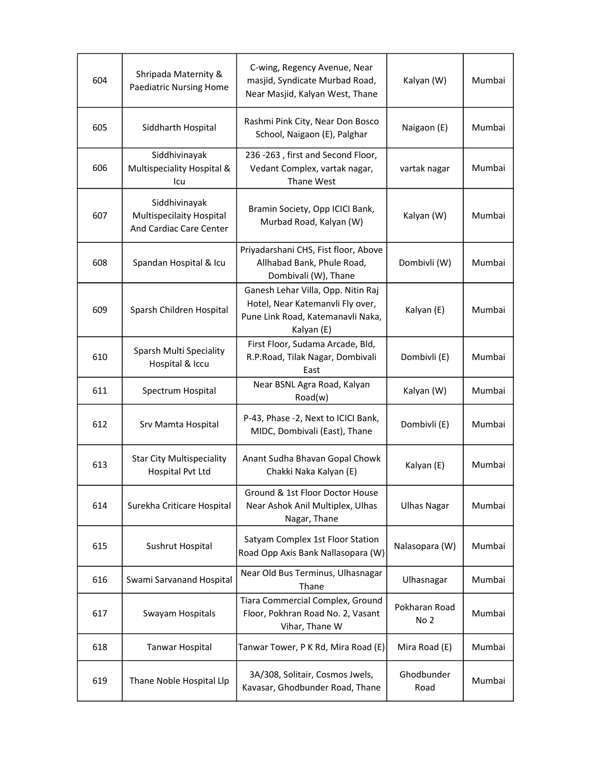| 604 | Shripada Maternity &<br><b>Paediatric Nursing Home</b>               | C-wing, Regency Avenue, Near<br>masjid, Syndicate Murbad Road,<br>Near Masjid, Kalyan West, Thane                         | Kalyan (W)                       | Mumbai |
|-----|----------------------------------------------------------------------|---------------------------------------------------------------------------------------------------------------------------|----------------------------------|--------|
| 605 | Siddharth Hospital                                                   | Rashmi Pink City, Near Don Bosco<br>School, Naigaon (E), Palghar                                                          | Naigaon (E)                      | Mumbai |
| 606 | Siddhivinayak<br>Multispeciality Hospital &<br>lcu                   | 236 -263, first and Second Floor,<br>Vedant Complex, vartak nagar,<br>Thane West                                          | vartak nagar                     | Mumbai |
| 607 | Siddhivinayak<br>Multispecilaity Hospital<br>And Cardiac Care Center | Bramin Society, Opp ICICI Bank,<br>Murbad Road, Kalyan (W)                                                                | Kalyan (W)                       | Mumbai |
| 608 | Spandan Hospital & Icu                                               | Priyadarshani CHS, Fist floor, Above<br>Allhabad Bank, Phule Road,<br>Dombivali (W), Thane                                | Dombivli (W)                     | Mumbai |
| 609 | Sparsh Children Hospital                                             | Ganesh Lehar Villa, Opp. Nitin Raj<br>Hotel, Near Katemanvli Fly over,<br>Pune Link Road, Katemanavli Naka,<br>Kalyan (E) | Kalyan (E)                       | Mumbai |
| 610 | Sparsh Multi Speciality<br>Hospital & Iccu                           | First Floor, Sudama Arcade, Bld,<br>R.P.Road, Tilak Nagar, Dombivali<br>East                                              | Dombivli (E)                     | Mumbai |
| 611 | Spectrum Hospital                                                    | Near BSNL Agra Road, Kalyan<br>Road(w)                                                                                    | Kalyan (W)                       | Mumbai |
| 612 | Srv Mamta Hospital                                                   | P-43, Phase -2, Next to ICICI Bank,<br>MIDC, Dombivali (East), Thane                                                      | Dombivli (E)                     | Mumbai |
|     |                                                                      |                                                                                                                           |                                  |        |
| 613 | <b>Star City Multispeciality</b><br>Hospital Pvt Ltd                 | Anant Sudha Bhavan Gopal Chowk<br>Chakki Naka Kalyan (E)                                                                  | Kalyan (E)                       | Mumbai |
| 614 | Surekha Criticare Hospital                                           | Ground & 1st Floor Doctor House<br>Near Ashok Anil Multiplex, Ulhas<br>Nagar, Thane                                       | <b>Ulhas Nagar</b>               | Mumbai |
| 615 | Sushrut Hospital                                                     | Satyam Complex 1st Floor Station<br>Road Opp Axis Bank Nallasopara (W)                                                    | Nalasopara (W)                   | Mumbai |
| 616 | Swami Sarvanand Hospital                                             | Near Old Bus Terminus, Ulhasnagar<br>Thane                                                                                | Ulhasnagar                       | Mumbai |
| 617 | Swayam Hospitals                                                     | Tiara Commercial Complex, Ground<br>Floor, Pokhran Road No. 2, Vasant<br>Vihar, Thane W                                   | Pokharan Road<br>No <sub>2</sub> | Mumbai |
| 618 | <b>Tanwar Hospital</b>                                               | Tanwar Tower, P K Rd, Mira Road (E)                                                                                       | Mira Road (E)                    | Mumbai |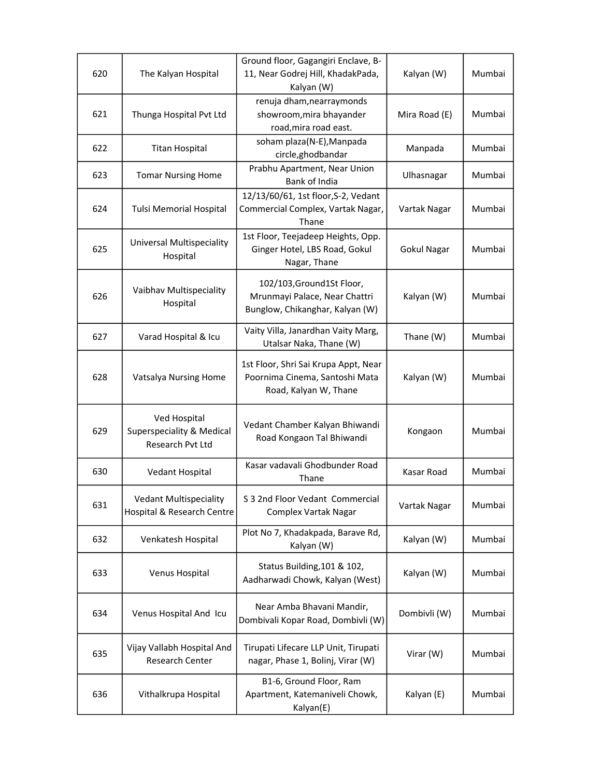| 620 | The Kalyan Hospital                                           | Ground floor, Gagangiri Enclave, B-<br>11, Near Godrej Hill, KhadakPada,<br>Kalyan (W)          | Kalyan (W)         | Mumbai |
|-----|---------------------------------------------------------------|-------------------------------------------------------------------------------------------------|--------------------|--------|
| 621 | Thunga Hospital Pvt Ltd                                       | renuja dham, nearray monds<br>showroom, mira bhayander<br>road, mira road east.                 | Mira Road (E)      | Mumbai |
| 622 | <b>Titan Hospital</b>                                         | soham plaza(N-E), Manpada<br>circle, ghodbandar                                                 | Manpada            | Mumbai |
| 623 | <b>Tomar Nursing Home</b>                                     | Prabhu Apartment, Near Union<br>Bank of India                                                   | Ulhasnagar         | Mumbai |
| 624 | <b>Tulsi Memorial Hospital</b>                                | 12/13/60/61, 1st floor, S-2, Vedant<br>Commercial Complex, Vartak Nagar,<br>Thane               | Vartak Nagar       | Mumbai |
| 625 | Universal Multispeciality<br>Hospital                         | 1st Floor, Teejadeep Heights, Opp.<br>Ginger Hotel, LBS Road, Gokul<br>Nagar, Thane             | <b>Gokul Nagar</b> | Mumbai |
| 626 | Vaibhav Multispeciality<br>Hospital                           | 102/103, Ground 1St Floor,<br>Mrunmayi Palace, Near Chattri<br>Bunglow, Chikanghar, Kalyan (W)  | Kalyan (W)         | Mumbai |
| 627 | Varad Hospital & Icu                                          | Vaity Villa, Janardhan Vaity Marg,<br>Utalsar Naka, Thane (W)                                   | Thane (W)          | Mumbai |
| 628 | Vatsalya Nursing Home                                         | 1st Floor, Shri Sai Krupa Appt, Near<br>Poornima Cinema, Santoshi Mata<br>Road, Kalyan W, Thane | Kalyan (W)         | Mumbai |
| 629 | Ved Hospital<br>Superspeciality & Medical<br>Research Pvt Ltd | Vedant Chamber Kalyan Bhiwandi<br>Road Kongaon Tal Bhiwandi                                     | Kongaon            | Mumbai |
| 630 | Vedant Hospital                                               | Kasar vadavali Ghodbunder Road<br>Thane                                                         | Kasar Road         | Mumbai |
| 631 | <b>Vedant Multispeciality</b><br>Hospital & Research Centre   | S 3 2nd Floor Vedant Commercial<br>Complex Vartak Nagar                                         | Vartak Nagar       | Mumbai |
| 632 | Venkatesh Hospital                                            | Plot No 7, Khadakpada, Barave Rd,<br>Kalyan (W)                                                 | Kalyan (W)         | Mumbai |
| 633 | Venus Hospital                                                | Status Building, 101 & 102,<br>Aadharwadi Chowk, Kalyan (West)                                  | Kalyan (W)         | Mumbai |
| 634 | Venus Hospital And Icu                                        | Near Amba Bhavani Mandir,<br>Dombivali Kopar Road, Dombivli (W)                                 | Dombivli (W)       | Mumbai |
| 635 | Vijay Vallabh Hospital And<br>Research Center                 | Tirupati Lifecare LLP Unit, Tirupati<br>nagar, Phase 1, Bolinj, Virar (W)                       | Virar (W)          | Mumbai |
| 636 | Vithalkrupa Hospital                                          | B1-6, Ground Floor, Ram<br>Apartment, Katemaniveli Chowk,<br>Kalyan(E)                          | Kalyan (E)         | Mumbai |